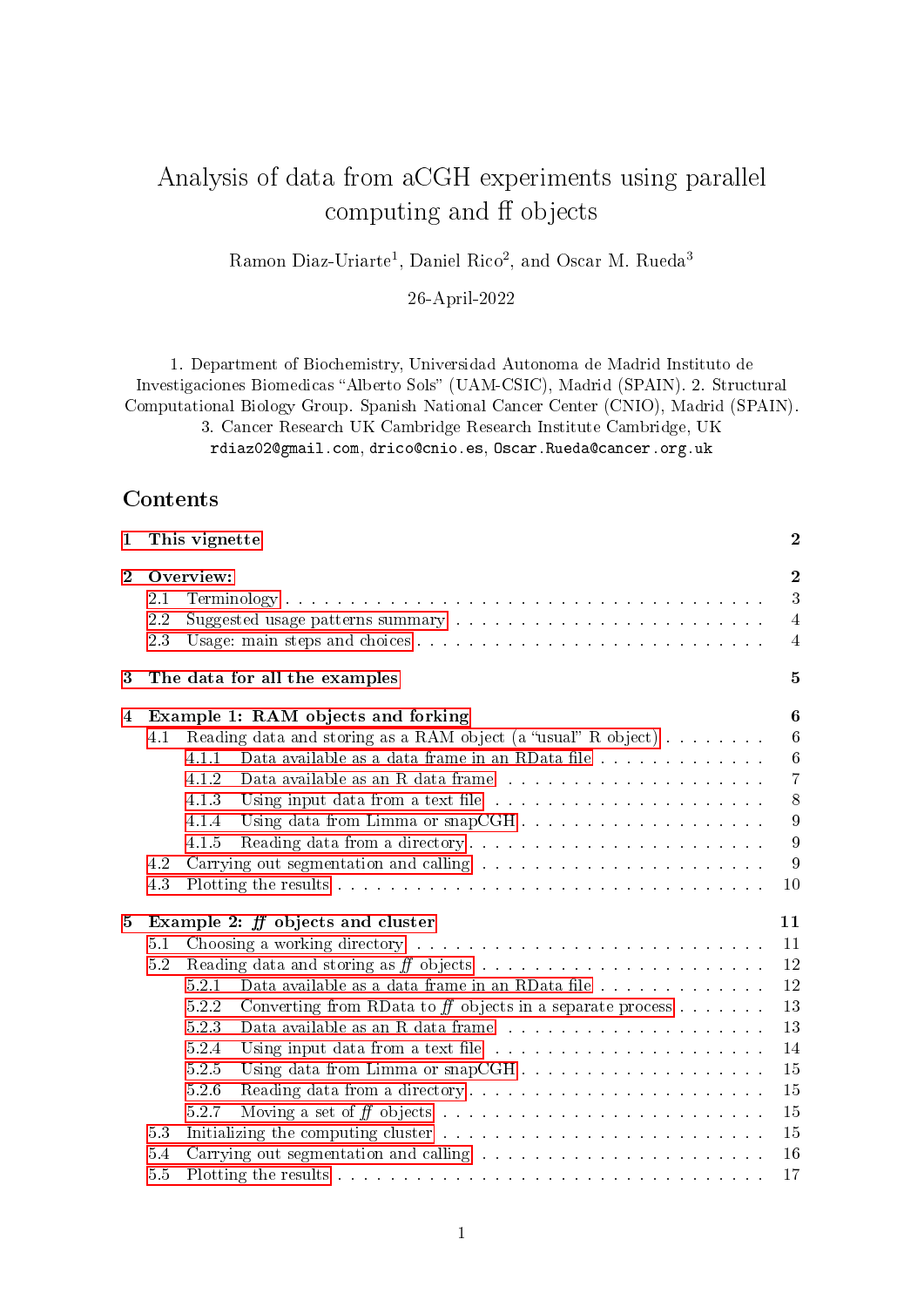# Analysis of data from aCGH experiments using parallel computing and ff objects

Ramon Diaz-Uriarte<sup>1</sup>, Daniel Rico<sup>2</sup>, and Oscar M. Rueda<sup>3</sup>

26-April-2022

1. Department of Biochemistry, Universidad Autonoma de Madrid Instituto de Investigaciones Biomedicas "Alberto Sols" (UAM-CSIC), Madrid (SPAIN). 2. Structural Computational Biology Group. Spanish National Cancer Center (CNIO), Madrid (SPAIN).

3. Cancer Research UK Cambridge Research Institute Cambridge, UK

rdiaz02@gmail.com, drico@cnio.es, Oscar.Rueda@cancer.org.uk

## Contents

| $\mathbf{1}$     | This vignette                                                                                                                                                                                                                                                                                                                                                                                    | $\boldsymbol{2}$                                                      |
|------------------|--------------------------------------------------------------------------------------------------------------------------------------------------------------------------------------------------------------------------------------------------------------------------------------------------------------------------------------------------------------------------------------------------|-----------------------------------------------------------------------|
| $\mathbf 2$      | Overview:<br>2.1<br>2.2<br>2.3                                                                                                                                                                                                                                                                                                                                                                   | $\mathbf{2}$<br>3<br>$\overline{4}$<br>$\overline{4}$                 |
| $\boldsymbol{3}$ | The data for all the examples                                                                                                                                                                                                                                                                                                                                                                    | 5                                                                     |
| 4                | Example 1: RAM objects and forking<br>Reading data and storing as a RAM object (a "usual" R object)<br>4.1<br>Data available as a data frame in an RData file<br>4.1.1<br>4.1.2<br>4.1.3<br>4.1.4<br>4.1.5<br>4.2<br>4.3                                                                                                                                                                         | 6<br>6<br>$6\phantom{.}6$<br>$\overline{7}$<br>8<br>9<br>9<br>9<br>10 |
| 5                | Example 2: $ff$ objects and cluster<br>5.1<br>5.2<br>5.2.1<br>5.2.2<br>Converting from RData to $f\!f$ objects in a separate process<br>5.2.3<br>Data available as an R data frame $\ldots \ldots \ldots \ldots \ldots \ldots \ldots$<br>5.2.4<br>5.2.5<br>5.2.6<br>5.2.7<br>Initializing the computing cluster resources and containing the computing cluster resources and contained the<br>53 | 11<br>11<br>12<br>12<br>13<br>13<br>14<br>15<br>15<br>15<br>15        |
|                  | Carrying out segmentation and calling<br>5.4<br>55                                                                                                                                                                                                                                                                                                                                               | 16<br>17                                                              |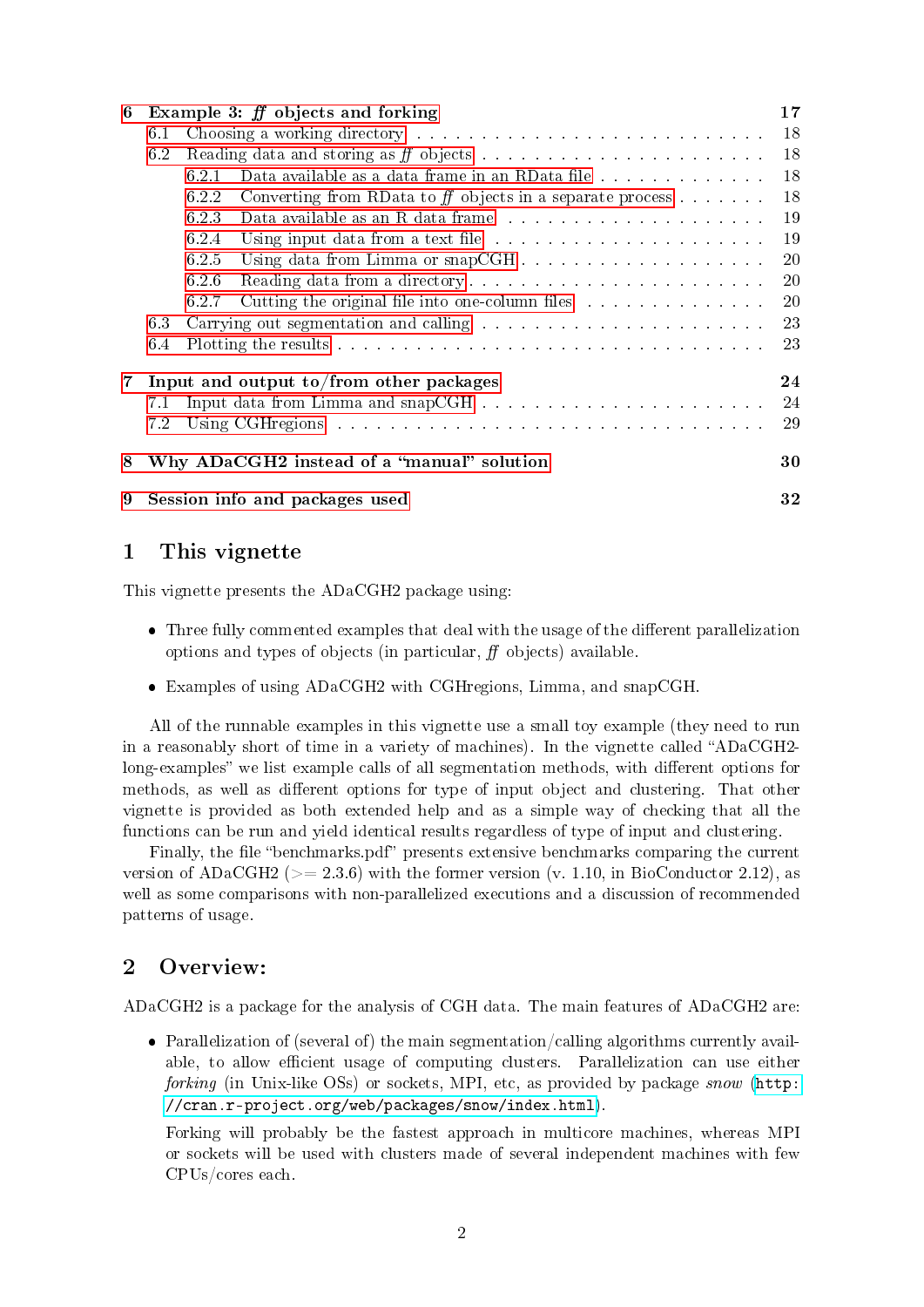| 6              | Example 3: $ff$ objects and forking                                                                                                                                                                                                  |       |                                                                                                                                                                                                                               |    |  |  |  |
|----------------|--------------------------------------------------------------------------------------------------------------------------------------------------------------------------------------------------------------------------------------|-------|-------------------------------------------------------------------------------------------------------------------------------------------------------------------------------------------------------------------------------|----|--|--|--|
|                | Choosing a working directory enterprise resources in the set of the set of the set of the set of the set of the set of the set of the set of the set of the set of the set of the set of the set of the set of the set of the<br>6.1 |       |                                                                                                                                                                                                                               |    |  |  |  |
|                | 6.2                                                                                                                                                                                                                                  |       |                                                                                                                                                                                                                               | 18 |  |  |  |
|                |                                                                                                                                                                                                                                      | 6.2.1 | Data available as a data frame in an RData file                                                                                                                                                                               | 18 |  |  |  |
|                |                                                                                                                                                                                                                                      | 6.2.2 | Converting from RData to ff objects in a separate process $\dots$ .                                                                                                                                                           | 18 |  |  |  |
|                |                                                                                                                                                                                                                                      | 6.2.3 | Data available as an R data frame $\ldots \ldots \ldots \ldots \ldots \ldots \ldots \ldots$                                                                                                                                   | 19 |  |  |  |
|                |                                                                                                                                                                                                                                      | 6.2.4 |                                                                                                                                                                                                                               | 19 |  |  |  |
|                |                                                                                                                                                                                                                                      | 6.2.5 |                                                                                                                                                                                                                               | 20 |  |  |  |
|                | 6.2.6<br>Reading data from a directory                                                                                                                                                                                               |       |                                                                                                                                                                                                                               |    |  |  |  |
|                |                                                                                                                                                                                                                                      | 6.2.7 | Cutting the original file into one-column files                                                                                                                                                                               | 20 |  |  |  |
|                | 6.3                                                                                                                                                                                                                                  |       |                                                                                                                                                                                                                               |    |  |  |  |
|                | 6.4                                                                                                                                                                                                                                  |       |                                                                                                                                                                                                                               |    |  |  |  |
| $\overline{7}$ | Input and output to/from other packages<br>24                                                                                                                                                                                        |       |                                                                                                                                                                                                                               |    |  |  |  |
|                | 7.1                                                                                                                                                                                                                                  |       |                                                                                                                                                                                                                               | 24 |  |  |  |
|                | 7.2                                                                                                                                                                                                                                  |       | Using CGH regions and a contract the contract of the contract of the contract of the contract of the contract of the contract of the contract of the contract of the contract of the contract of the contract of the contract | 29 |  |  |  |
| 8              | Why ADaCGH2 instead of a "manual" solution                                                                                                                                                                                           |       |                                                                                                                                                                                                                               |    |  |  |  |
| 9              | Session info and packages used                                                                                                                                                                                                       |       |                                                                                                                                                                                                                               |    |  |  |  |

## <span id="page-1-0"></span>1 This vignette

This vignette presents the ADaCGH2 package using:

- $\bullet$  Three fully commented examples that deal with the usage of the different parallelization options and types of objects (in particular,  $f\bar{f}$  objects) available.
- Examples of using ADaCGH2 with CGHregions, Limma, and snapCGH.

All of the runnable examples in this vignette use a small toy example (they need to run in a reasonably short of time in a variety of machines). In the vignette called "ADaCGH2long-examples" we list example calls of all segmentation methods, with different options for methods, as well as different options for type of input object and clustering. That other vignette is provided as both extended help and as a simple way of checking that all the functions can be run and yield identical results regardless of type of input and clustering.

Finally, the file "benchmarks.pdf" presents extensive benchmarks comparing the current version of ADaCGH2 ( $> = 2.3.6$ ) with the former version (v. 1.10, in BioConductor 2.12), as well as some comparisons with non-parallelized executions and a discussion of recommended patterns of usage.

## <span id="page-1-1"></span>2 Overview:

ADaCGH2 is a package for the analysis of CGH data. The main features of ADaCGH2 are:

 Parallelization of (several of) the main segmentation/calling algorithms currently available, to allow efficient usage of computing clusters. Parallelization can use either forking (in Unix-like OSs) or sockets, MPI, etc, as provided by package snow [\(http:](http://cran.r-project.org/web/packages/snow/index.html) [//cran.r-project.org/web/packages/snow/index.html\)](http://cran.r-project.org/web/packages/snow/index.html).

Forking will probably be the fastest approach in multicore machines, whereas MPI or sockets will be used with clusters made of several independent machines with few CPUs/cores each.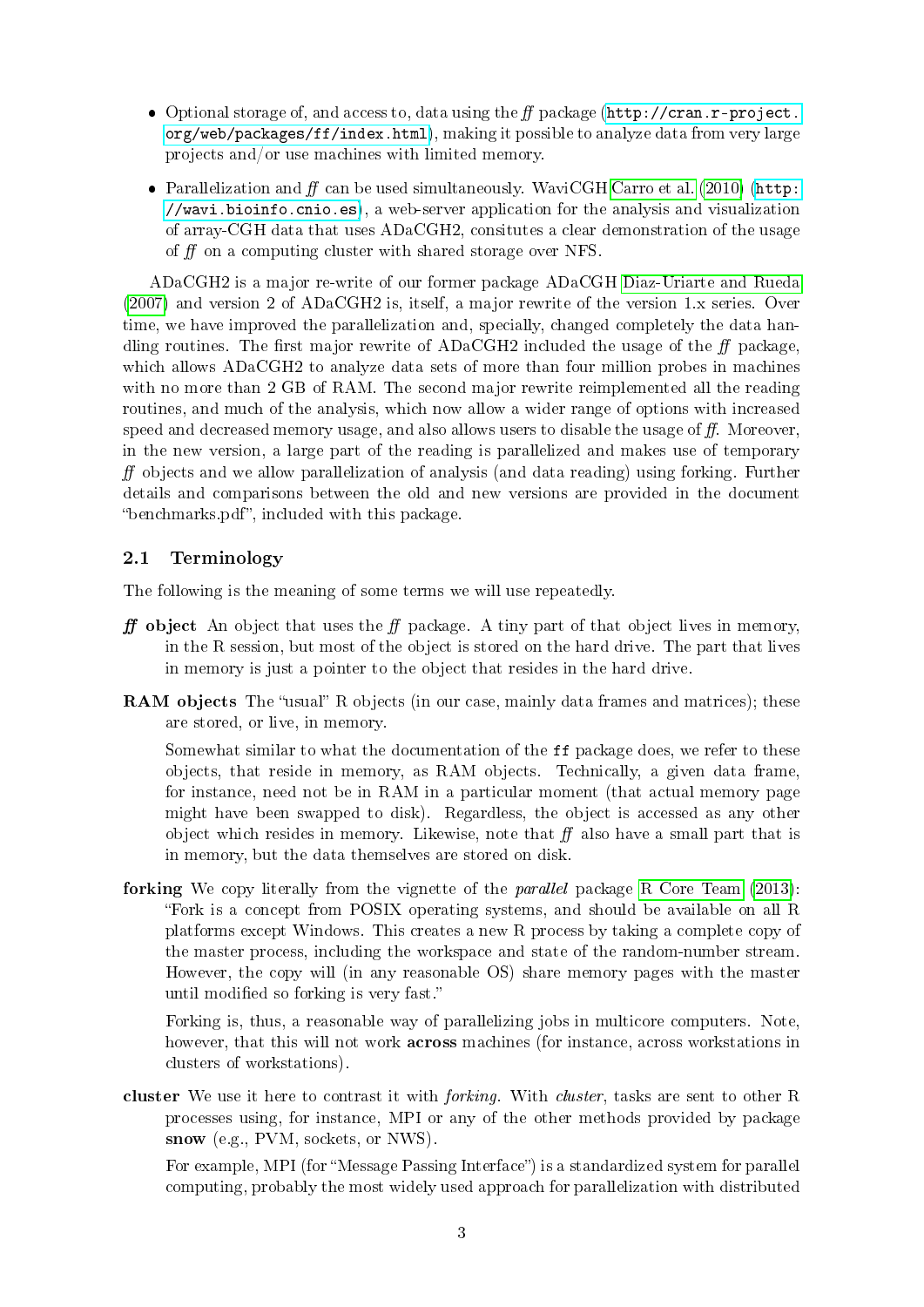- $\bullet$  Optional storage of, and access to, data using the  $f\!f$  package [\(http://cran.r-project.](http://cran.r-project.org/web/packages/ff/index.html) [org/web/packages/ff/index.html\)](http://cran.r-project.org/web/packages/ff/index.html), making it possible to analyze data from very large projects and/or use machines with limited memory.
- Parallelization and  $f\hspace{-0.1cm}f$  can be used simultaneously. WaviCGH [Carro et al.](#page-33-0) [\(2010\)](#page-33-0) [\(http:](http://wavi.bioinfo.cnio.es) [//wavi.bioinfo.cnio.es\)](http://wavi.bioinfo.cnio.es), a web-server application for the analysis and visualization of array-CGH data that uses ADaCGH2, consitutes a clear demonstration of the usage of  $f$  on a computing cluster with shared storage over NFS.

ADaCGH2 is a major re-write of our former package ADaCGH [Diaz-Uriarte and Rueda](#page-33-1) [\(2007\)](#page-33-1) and version 2 of ADaCGH2 is, itself, a major rewrite of the version 1.x series. Over time, we have improved the parallelization and, specially, changed completely the data handling routines. The first major rewrite of ADaCGH2 included the usage of the  $ff$  package, which allows ADaCGH2 to analyze data sets of more than four million probes in machines with no more than 2 GB of RAM. The second major rewrite reimplemented all the reading routines, and much of the analysis, which now allow a wider range of options with increased speed and decreased memory usage, and also allows users to disable the usage of  $f$ . Moreover, in the new version, a large part of the reading is parallelized and makes use of temporary  $f$  objects and we allow parallelization of analysis (and data reading) using forking. Further details and comparisons between the old and new versions are provided in the document "benchmarks.pdf", included with this package.

## <span id="page-2-0"></span>2.1 Terminology

The following is the meaning of some terms we will use repeatedly.

- **ff** object An object that uses the  $f$  package. A tiny part of that object lives in memory, in the R session, but most of the object is stored on the hard drive. The part that lives in memory is just a pointer to the object that resides in the hard drive.
- **RAM objects** The "usual" R objects (in our case, mainly data frames and matrices); these are stored, or live, in memory.

Somewhat similar to what the documentation of the ff package does, we refer to these objects, that reside in memory, as RAM objects. Technically, a given data frame, for instance, need not be in RAM in a particular moment (that actual memory page might have been swapped to disk). Regardless, the object is accessed as any other object which resides in memory. Likewise, note that  $f\bar{f}$  also have a small part that is in memory, but the data themselves are stored on disk.

forking We copy literally from the vignette of the parallel package [R Core Team](#page-33-2) [\(2013\)](#page-33-2): Fork is a concept from POSIX operating systems, and should be available on all R platforms except Windows. This creates a new R process by taking a complete copy of the master process, including the workspace and state of the random-number stream. However, the copy will (in any reasonable OS) share memory pages with the master until modified so forking is very fast."

Forking is, thus, a reasonable way of parallelizing jobs in multicore computers. Note, however, that this will not work across machines (for instance, across workstations in clusters of workstations).

cluster We use it here to contrast it with *forking*. With *cluster*, tasks are sent to other R processes using, for instance, MPI or any of the other methods provided by package snow (e.g., PVM, sockets, or NWS).

For example, MPI (for "Message Passing Interface") is a standardized system for parallel computing, probably the most widely used approach for parallelization with distributed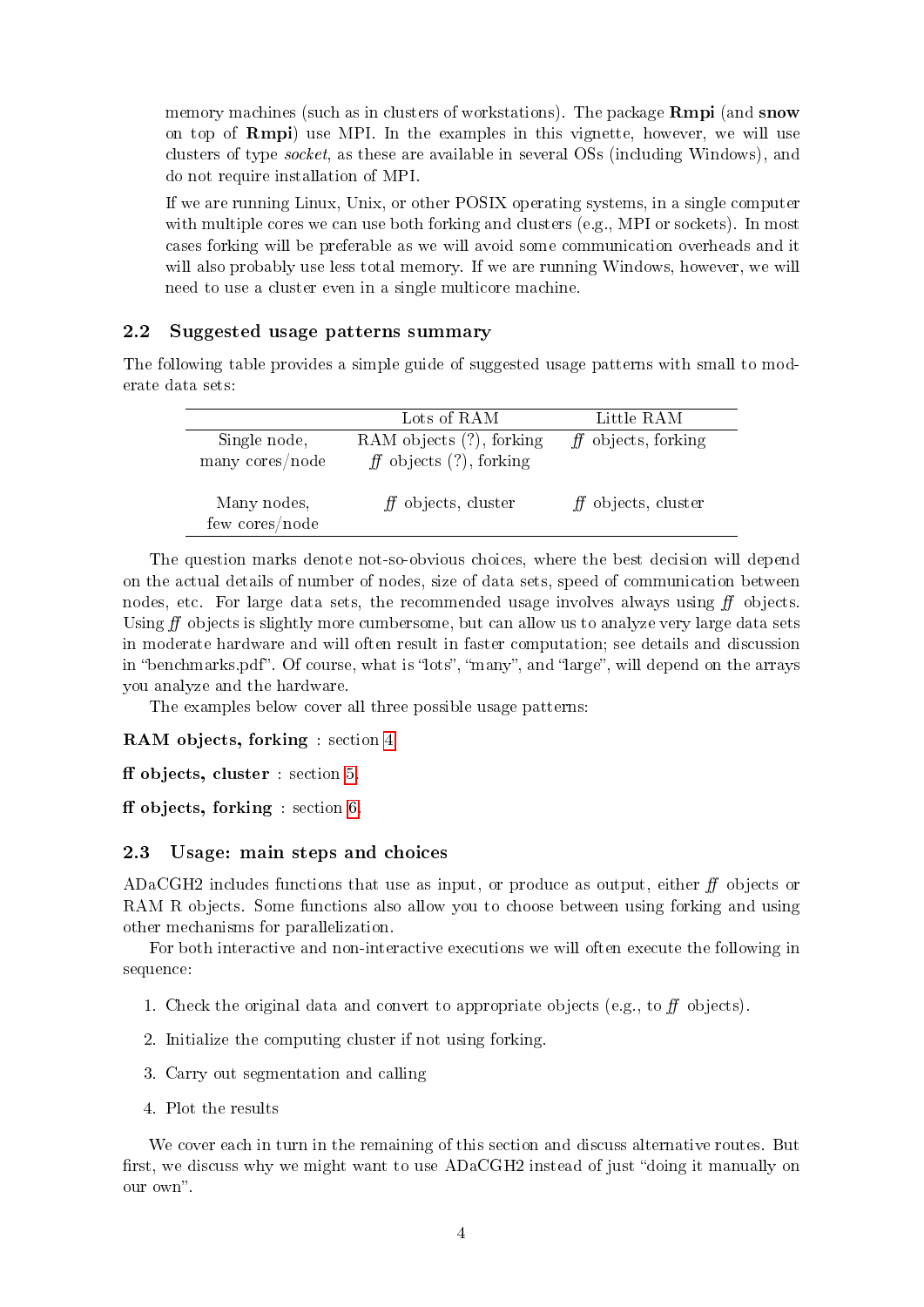memory machines (such as in clusters of workstations). The package **Rmpi** (and **snow** on top of Rmpi) use MPI. In the examples in this vignette, however, we will use clusters of type socket, as these are available in several OSs (including Windows), and do not require installation of MPI.

If we are running Linux, Unix, or other POSIX operating systems, in a single computer with multiple cores we can use both forking and clusters (e.g., MPI or sockets). In most cases forking will be preferable as we will avoid some communication overheads and it will also probably use less total memory. If we are running Windows, however, we will need to use a cluster even in a single multicore machine.

### <span id="page-3-0"></span>2.2 Suggested usage patterns summary

The following table provides a simple guide of suggested usage patterns with small to moderate data sets:

|                 | Lots of RAM                 | Little RAM           |
|-----------------|-----------------------------|----------------------|
| Single node,    | RAM objects (?), forking    | $f$ objects, forking |
| many cores/node | $f$ objects $(?)$ , forking |                      |
| Many nodes,     | $f$ objects, cluster        | $f$ objects, cluster |
| few cores/node  |                             |                      |

The question marks denote not-so-obvious choices, where the best decision will depend on the actual details of number of nodes, size of data sets, speed of communication between nodes, etc. For large data sets, the recommended usage involves always using  $f\!f$  objects. Using  $\hat{H}$  objects is slightly more cumbersome, but can allow us to analyze very large data sets in moderate hardware and will often result in faster computation; see details and discussion in "benchmarks.pdf". Of course, what is "lots", "many", and "large", will depend on the arrays you analyze and the hardware.

The examples below cover all three possible usage patterns:

#### RAM objects, forking : section [4.](#page-5-0)

 $f$  ff objects, cluster : section [5.](#page-10-0)

 $f$  fobjects, forking : section [6.](#page-16-1)

## <span id="page-3-1"></span>2.3 Usage: main steps and choices

ADaCGH2 includes functions that use as input, or produce as output, either  $f\!f$  objects or RAM R objects. Some functions also allow you to choose between using forking and using other mechanisms for parallelization.

For both interactive and non-interactive executions we will often execute the following in sequence:

- 1. Check the original data and convert to appropriate objects (e.g., to  $f\bar{f}$  objects).
- 2. Initialize the computing cluster if not using forking.
- 3. Carry out segmentation and calling
- 4. Plot the results

We cover each in turn in the remaining of this section and discuss alternative routes. But first, we discuss why we might want to use  $ADaCGH2$  instead of just "doing it manually on our own".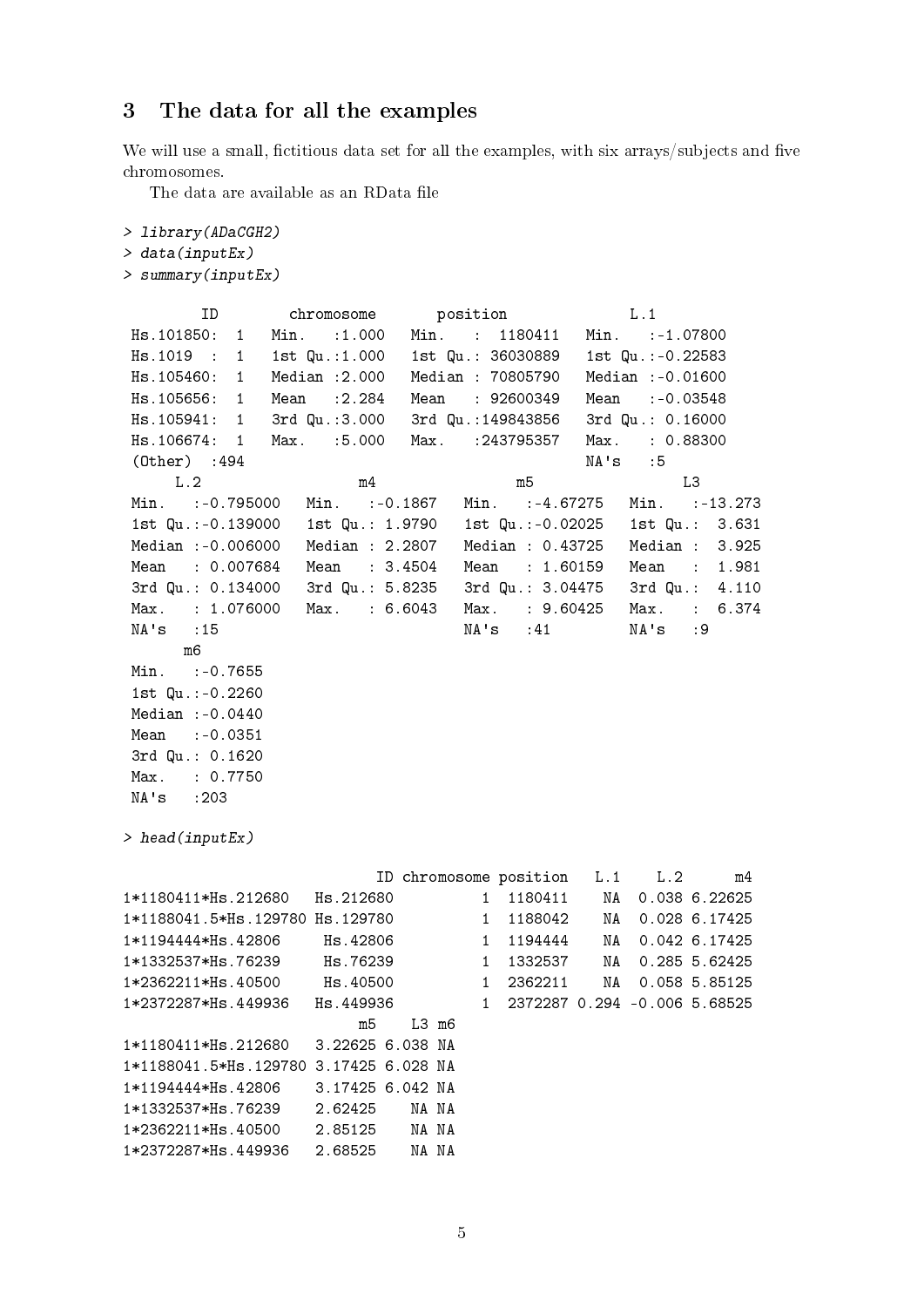## <span id="page-4-0"></span>3 The data for all the examples

We will use a small, fictitious data set for all the examples, with six arrays/subjects and five chromosomes.

The data are available as an RData file

```
> library(ADaCGH2)
> data(inputEx)
> summary(inputEx)
       ID chromosome position L.1
Hs.101850: 1 Min. :1.000 Min. : 1180411 Min. :-1.07800
Hs.1019 : 1 1st Qu.:1.000 1st Qu.: 36030889 1st Qu.:-0.22583
Hs.105460: 1 Median :2.000 Median : 70805790 Median :-0.01600
Hs.105656: 1 Mean :2.284 Mean : 92600349 Mean :-0.03548
Hs.105941: 1 3rd Qu.:3.000 3rd Qu.:149843856 3rd Qu.: 0.16000
Hs.106674: 1 Max. :5.000 Max. :243795357 Max. : 0.88300
(Other) :494 NA's :5
    L.2 m4 m5 L3
Min. :-0.795000 Min. :-0.1867 Min. :-4.67275 Min. :-13.273
1st Qu.:-0.139000 1st Qu.: 1.9790 1st Qu.:-0.02025 1st Qu.: 3.631
Median :-0.006000 Median : 2.2807 Median : 0.43725 Median : 3.925
Mean : 0.007684 Mean : 3.4504 Mean : 1.60159 Mean : 1.981
3rd Qu.: 0.134000 3rd Qu.: 5.8235 3rd Qu.: 3.04475 3rd Qu.: 4.110
Max. : 1.076000 Max. : 6.6043 Max. : 9.60425 Max. : 6.374
NA's :15 NA's :41 NA's :9
     m6
Min. :- 0.7655
1st Qu.:-0.2260
Median :-0.0440
Mean :-0.0351
3rd Qu.: 0.1620
Max. : 0.7750
NA's :203
> head(inputEx)
                       ID chromosome position L.1 L.2 m4
1*1180411*Hs.212680 Hs.212680 1 1180411 NA 0.038 6.22625
1*1188041.5*Hs.129780 Hs.129780 1 1188042 NA 0.028 6.17425
1*1194444*Hs.42806 Hs.42806 1 1194444 NA 0.042 6.17425
1*1332537*Hs.76239 Hs.76239 1 1332537 NA 0.285 5.62425
1*2362211*Hs.40500 Hs.40500 1 2362211 NA 0.058 5.85125
1*2372287*Hs.449936 Hs.449936 1 2372287 0.294 -0.006 5.68525
                     m5 L3 m6
1*1180411*Hs.212680 3.22625 6.038 NA
1*1188041.5*Hs.129780 3.17425 6.028 NA
1*1194444*Hs.42806 3.17425 6.042 NA
1*1332537*Hs.76239 2.62425 NA NA
1*2362211*Hs.40500 2.85125 NA NA
1*2372287*Hs.449936 2.68525 NA NA
```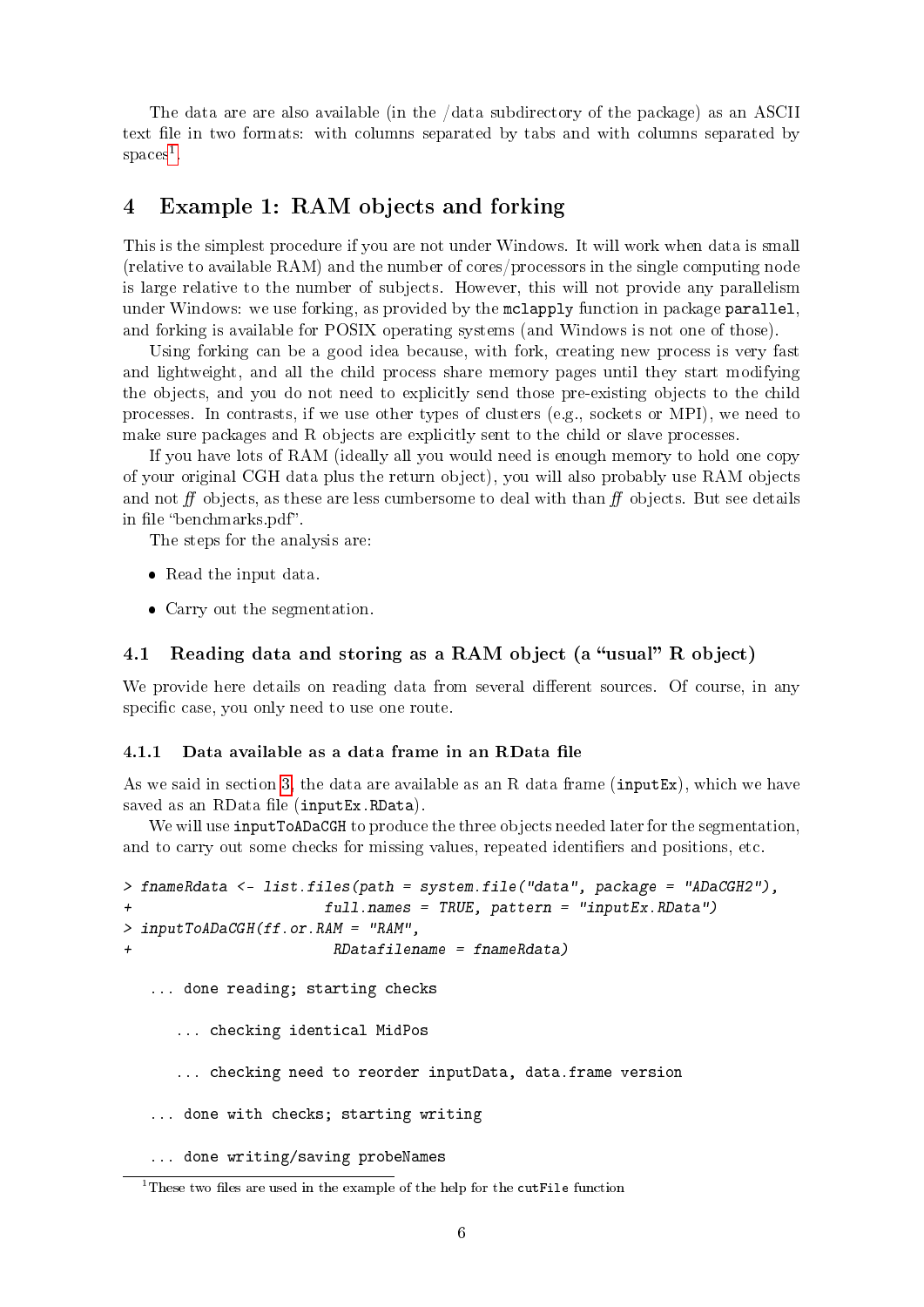The data are are also available (in the /data subdirectory of the package) as an ASCII text file in two formats: with columns separated by tabs and with columns separated by  $spaces<sup>1</sup>$  $spaces<sup>1</sup>$  $spaces<sup>1</sup>$ .

## <span id="page-5-0"></span>4 Example 1: RAM objects and forking

This is the simplest procedure if you are not under Windows. It will work when data is small (relative to available RAM) and the number of cores/processors in the single computing node is large relative to the number of subjects. However, this will not provide any parallelism under Windows: we use forking, as provided by the mclapply function in package parallel, and forking is available for POSIX operating systems (and Windows is not one of those).

Using forking can be a good idea because, with fork, creating new process is very fast and lightweight, and all the child process share memory pages until they start modifying the objects, and you do not need to explicitly send those pre-existing objects to the child processes. In contrasts, if we use other types of clusters (e.g., sockets or MPI), we need to make sure packages and R objects are explicitly sent to the child or slave processes.

If you have lots of RAM (ideally all you would need is enough memory to hold one copy of your original CGH data plus the return object), you will also probably use RAM objects and not  $f\bar{f}$  objects, as these are less cumbersome to deal with than  $f\bar{f}$  objects. But see details in file "benchmarks.pdf".

The steps for the analysis are:

- Read the input data.
- Carry out the segmentation.

### <span id="page-5-1"></span>4.1 Reading data and storing as a RAM object (a "usual" R object)

We provide here details on reading data from several different sources. Of course, in any specific case, you only need to use one route.

#### <span id="page-5-2"></span> $4.1.1$  Data available as a data frame in an RData file

As we said in section [3,](#page-4-0) the data are available as an R data frame (inputEx), which we have saved as an RData file (inputEx.RData).

We will use **inputToADaCGH** to produce the three objects needed later for the segmentation, and to carry out some checks for missing values, repeated identifiers and positions, etc.

```
> fnameRdata <- list.files(path = system.file("data", package = "ADaCGH2"),
+ full.names = TRUE, pattern = "inputEx.RData")
> inputToADaCGH(ff.or.RAM = "RAM",
+ RDatafilename = fnameRdata)
  ... done reading; starting checks
     ... checking identical MidPos
     ... checking need to reorder inputData, data.frame version
  ... done with checks; starting writing
  ... done writing/saving probeNames
```
<span id="page-5-3"></span><sup>&</sup>lt;sup>1</sup>These two files are used in the example of the help for the cutFile function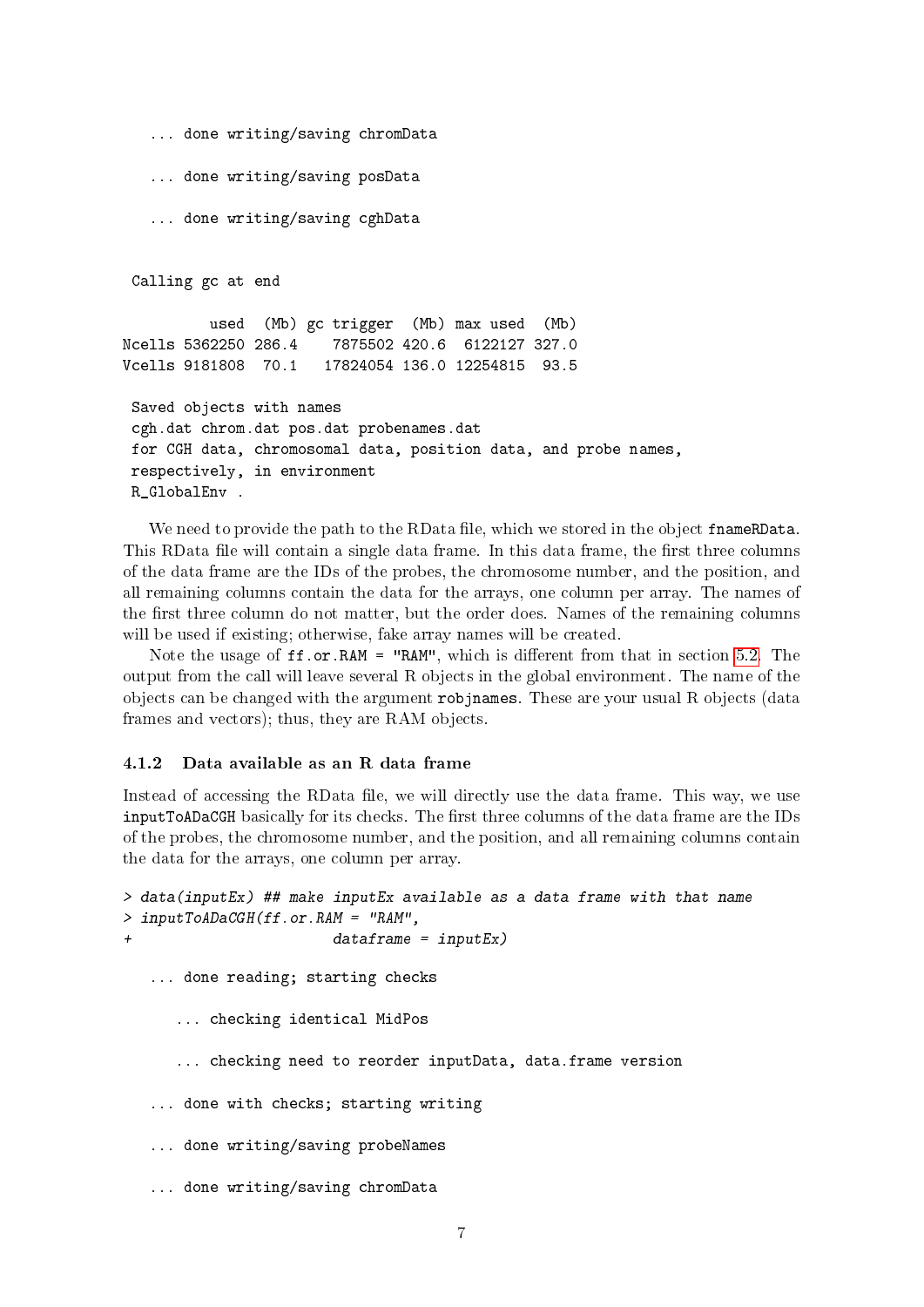```
... done writing/saving chromData
   ... done writing/saving posData
   ... done writing/saving cghData
Calling gc at end
         used (Mb) gc trigger (Mb) max used (Mb)
Ncells 5362250 286.4 7875502 420.6 6122127 327.0
Vcells 9181808 70.1 17824054 136.0 12254815 93.5
Saved objects with names
cgh.dat chrom.dat pos.dat probenames.dat
for CGH data, chromosomal data, position data, and probe names,
respectively, in environment
R GlobalEnv .
```
We need to provide the path to the RData file, which we stored in the object frameRData. This RData file will contain a single data frame. In this data frame, the first three columns of the data frame are the IDs of the probes, the chromosome number, and the position, and all remaining columns contain the data for the arrays, one column per array. The names of the first three column do not matter, but the order does. Names of the remaining columns will be used if existing; otherwise, fake array names will be created.

Note the usage of  $ff.or.RAM = "RAM", which is different from that in section 5.2. The$  $ff.or.RAM = "RAM", which is different from that in section 5.2. The$  $ff.or.RAM = "RAM", which is different from that in section 5.2. The$ output from the call will leave several R objects in the global environment. The name of the objects can be changed with the argument  $\tau$ objnames. These are your usual R objects (data frames and vectors); thus, they are RAM objects.

#### <span id="page-6-0"></span>4.1.2 Data available as an R data frame

Instead of accessing the RData file, we will directly use the data frame. This way, we use inputToADaCGH basically for its checks. The first three columns of the data frame are the IDs of the probes, the chromosome number, and the position, and all remaining columns contain the data for the arrays, one column per array.

```
> data(inputEx) ## make inputEx available as a data frame with that name
> inputToADaCGH(ff.or.RAM = "RAM",
+ dataframe = inputEx)
  ... done reading; starting checks
     ... checking identical MidPos
     ... checking need to reorder inputData, data.frame version
   ... done with checks; starting writing
   ... done writing/saving probeNames
   ... done writing/saving chromData
```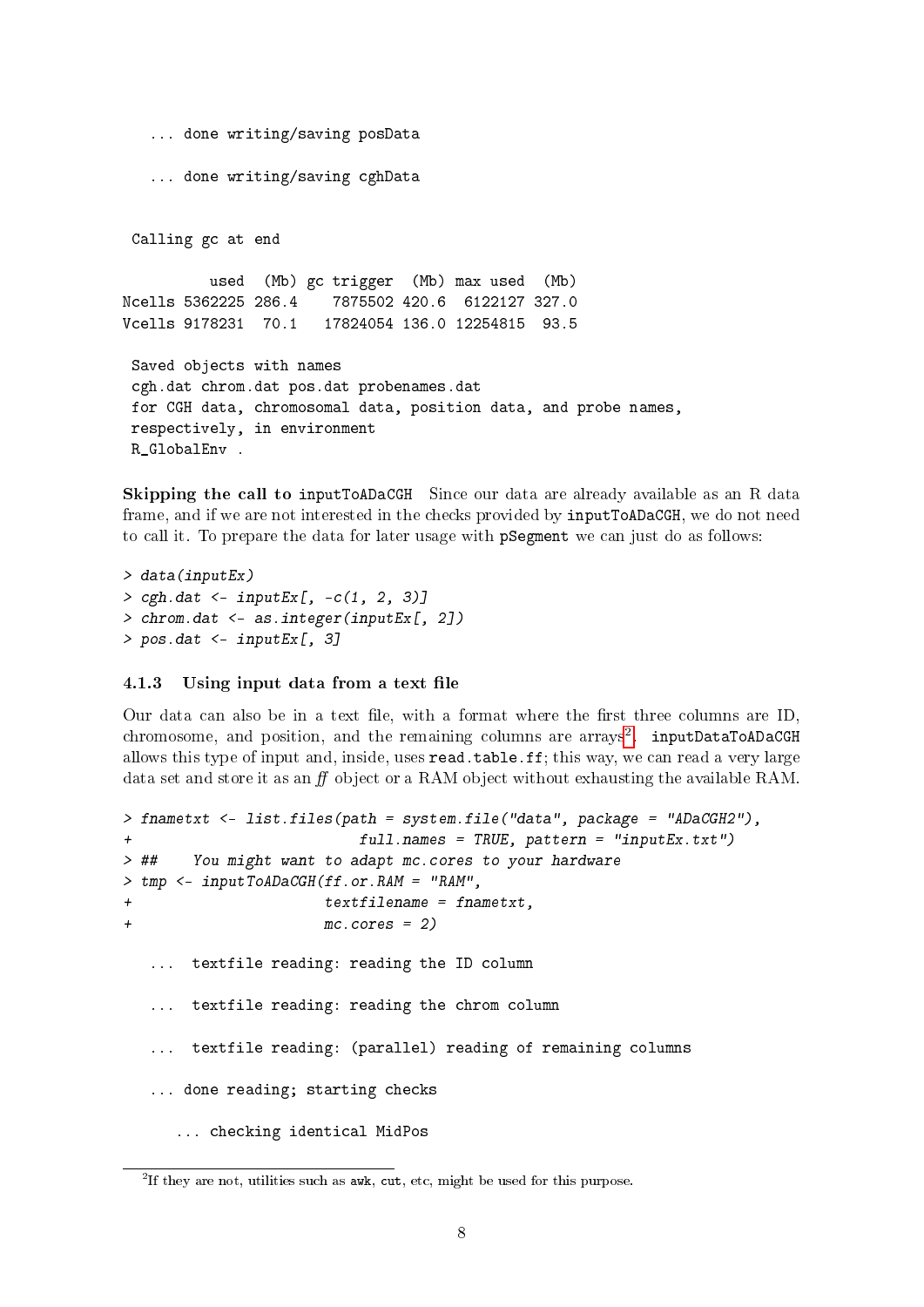```
... done writing/saving posData
   ... done writing/saving cghData
 Calling gc at end
         used (Mb) gc trigger (Mb) max used (Mb)
Ncells 5362225 286.4 7875502 420.6 6122127 327.0
Vcells 9178231 70.1 17824054 136.0 12254815 93.5
Saved objects with names
cgh.dat chrom.dat pos.dat probenames.dat
for CGH data, chromosomal data, position data, and probe names,
respectively, in environment
R_GlobalEnv .
```
Skipping the call to inputToADaCGH Since our data are already available as an R data frame, and if we are not interested in the checks provided by inputToADaCGH, we do not need to call it. To prepare the data for later usage with pSegment we can just do as follows:

```
> data(inputEx)
> cgh.dat <- inputEx[, -c(1, 2, 3)]
> chrom.dat <- as.integer(inputEx[, 2])
> pos.dat <- inputEx[, 3]
```
#### <span id="page-7-0"></span>4.1.3 Using input data from a text file

Our data can also be in a text file, with a format where the first three columns are  $ID$ , chromosome, and position, and the remaining columns are arrays<sup>[2](#page-7-1)</sup>. inputDataToADaCGH allows this type of input and, inside, uses read.table.ff; this way, we can read a very large data set and store it as an  $f\!f$  object or a RAM object without exhausting the available RAM.

```
> fnametxt <- list.files(path = system.file("data", package = "ADaCGH2"),
+ full.names = TRUE, pattern = "inputEx.txt")
> ## You might want to adapt mc.cores to your hardware
> tmp <- inputToADaCGH(ff.or.RAM = "RAM",
+ textfilename = fnametxt,
+ mc.cores = 2)
  ... textfile reading: reading the ID column
  ... textfile reading: reading the chrom column
  ... textfile reading: (parallel) reading of remaining columns
  ... done reading; starting checks
     ... checking identical MidPos
```
<span id="page-7-1"></span><sup>&</sup>lt;sup>2</sup>If they are not, utilities such as  $\texttt{awk}$ ,  $\texttt{cut}$ , etc, might be used for this purpose.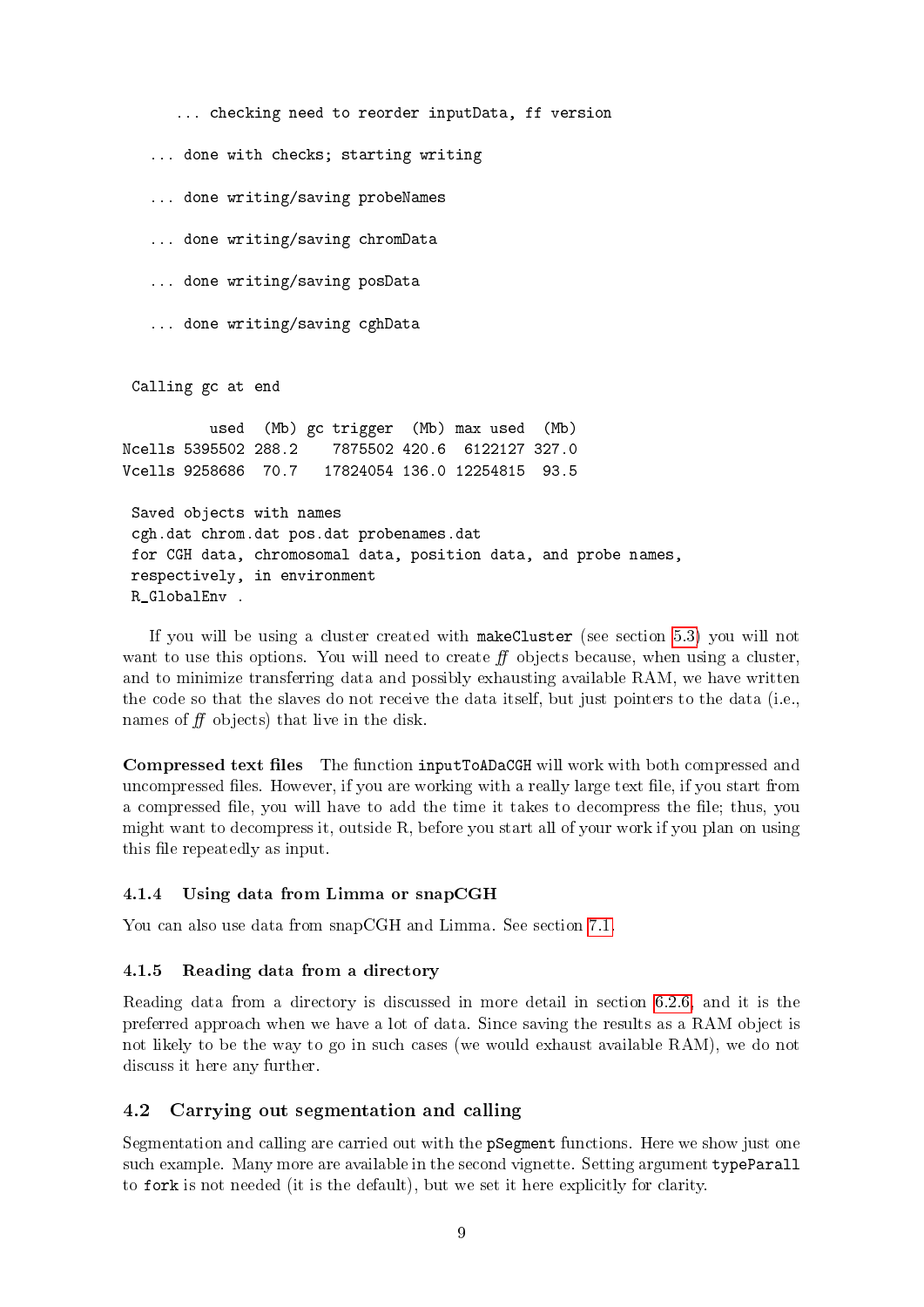```
... checking need to reorder inputData, ff version
   ... done with checks; starting writing
   ... done writing/saving probeNames
   ... done writing/saving chromData
   ... done writing/saving posData
   ... done writing/saving cghData
 Calling gc at end
          used (Mb) gc trigger (Mb) max used (Mb)
Ncells 5395502 288.2 7875502 420.6 6122127 327.0
Vcells 9258686 70.7 17824054 136.0 12254815 93.5
 Saved objects with names
 cgh.dat chrom.dat pos.dat probenames.dat
for CGH data, chromosomal data, position data, and probe names,
respectively, in environment
R_GlobalEnv .
```
If you will be using a cluster created with makeCluster (see section [5.3\)](#page-14-3) you will not want to use this options. You will need to create  $f$  objects because, when using a cluster, and to minimize transferring data and possibly exhausting available RAM, we have written the code so that the slaves do not receive the data itself, but just pointers to the data (i.e., names of  $f f$  objects) that live in the disk.

Compressed text files The function inputToADaCGH will work with both compressed and uncompressed files. However, if you are working with a really large text file, if you start from a compressed file, you will have to add the time it takes to decompress the file; thus, you might want to decompress it, outside R, before you start all of your work if you plan on using this file repeatedly as input.

#### <span id="page-8-0"></span>4.1.4 Using data from Limma or snapCGH

You can also use data from snapCGH and Limma. See section [7.1.](#page-23-1)

#### <span id="page-8-1"></span>4.1.5 Reading data from a directory

Reading data from a directory is discussed in more detail in section [6.2.6,](#page-19-1) and it is the preferred approach when we have a lot of data. Since saving the results as a RAM object is not likely to be the way to go in such cases (we would exhaust available RAM), we do not discuss it here any further.

### <span id="page-8-2"></span>4.2 Carrying out segmentation and calling

Segmentation and calling are carried out with the pSegment functions. Here we show just one such example. Many more are available in the second vignette. Setting argument typeParall to fork is not needed (it is the default), but we set it here explicitly for clarity.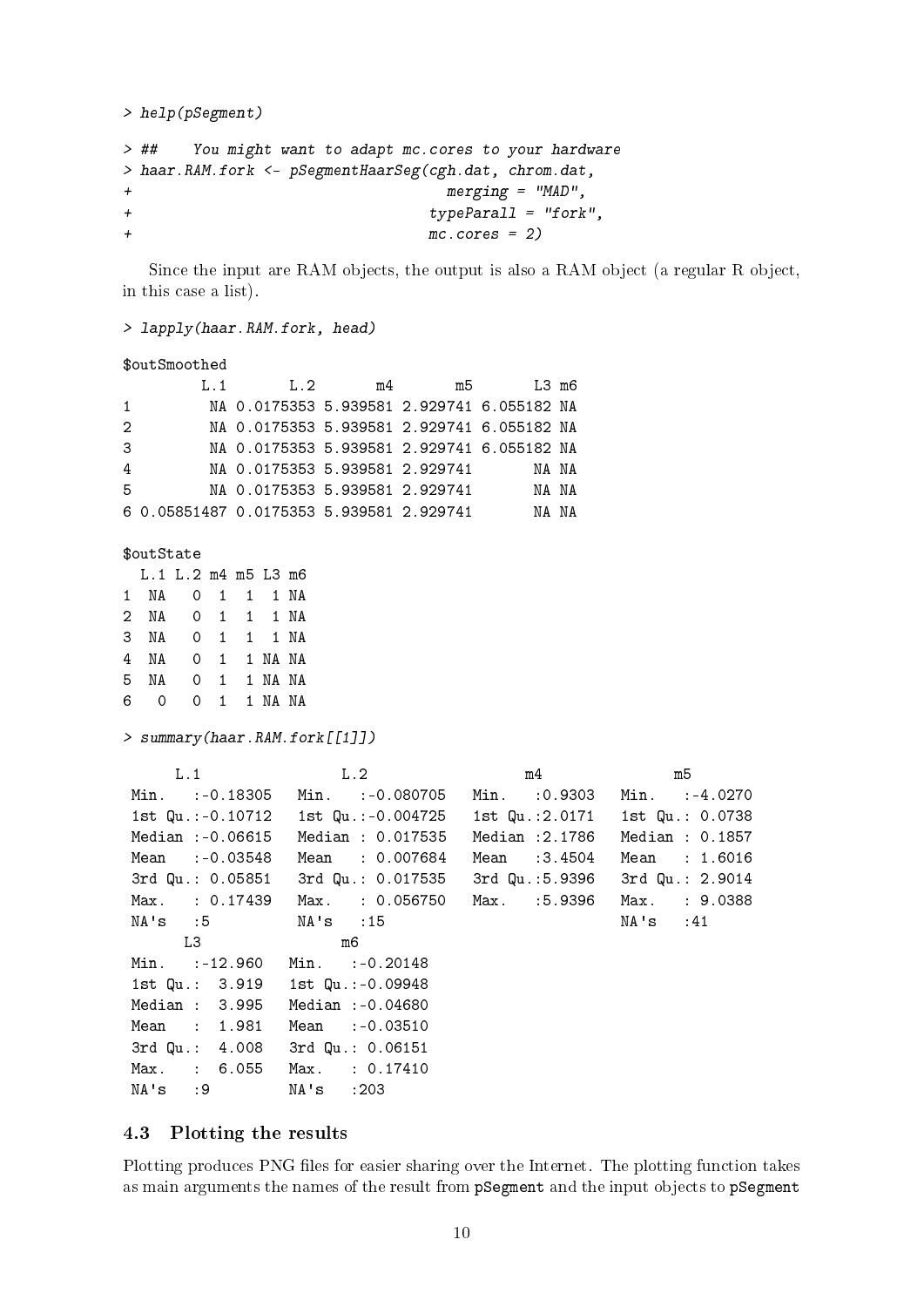```
> help(pSegment)
```

```
> ## You might want to adapt mc.cores to your hardware
> haar.RAM.fork <- pSegmentHaarSeg(cgh.dat, chrom.dat,
+ merging = "MAD",
+ typeParall = "fork",
+ mc.cores = 2)
```
Since the input are RAM objects, the output is also a RAM object (a regular R object, in this case a list).

> lapply(haar.RAM.fork, head)

## \$outSmoothed

|                | 1.1                                      | 1.2                                        | m4 | m5 | I.3 m6 |  |
|----------------|------------------------------------------|--------------------------------------------|----|----|--------|--|
|                |                                          | NA 0.0175353 5.939581 2.929741 6.055182 NA |    |    |        |  |
| -2             |                                          | NA 0.0175353 5.939581 2.929741 6.055182 NA |    |    |        |  |
| -3             |                                          | NA 0.0175353 5.939581 2.929741 6.055182 NA |    |    |        |  |
| $\overline{4}$ |                                          | NA 0.0175353 5.939581 2.929741             |    |    | NA NA  |  |
| -5             |                                          | NA 0.0175353 5.939581 2.929741             |    |    | NA NA  |  |
|                | 6 0.05851487 0.0175353 5.939581 2.929741 |                                            |    |    | NA NA  |  |

\$outState

|                      | L.1 L.2 m4 m5 L3 m6 |             |  |
|----------------------|---------------------|-------------|--|
|                      |                     |             |  |
| 2 NA  0  1  1  1  NA |                     |             |  |
| 3 NA                 | O 1 1 1 NA          |             |  |
| 4 NA                 | O 1 1 NA NA         |             |  |
| 5 NA                 | O 1 1 NA NA         |             |  |
| 6 0                  |                     | 0 1 1 NA NA |  |

> summary(haar.RAM.fork[[1]])

| L.1                             | L.2                                  | m <sub>4</sub> | m5              |
|---------------------------------|--------------------------------------|----------------|-----------------|
|                                 | Min. := 0.18305 Min. := 0.080705     | Min. :0.9303   | Min. :-4.0270   |
|                                 | 1st Qu.:-0.10712   1st Qu.:-0.004725 | 1st Qu.:2.0171 | 1st Qu.: 0.0738 |
| $Median : -0.06615$             | Median : 0.017535                    | Median :2.1786 | Median : 0.1857 |
| Mean :-0.03548                  | Mean : 0.007684                      | Mean :3.4504   | Mean : 1.6016   |
|                                 | 3rd Qu.: 0.05851 3rd Qu.: 0.017535   | 3rd Qu.:5.9396 | 3rd Qu.: 2.9014 |
| Max. : 0.17439                  | Max. : 0.056750 Max. :5.9396         |                | Max. : 9.0388   |
| NA's :5 NA's :15                |                                      |                | NA's :41        |
| L3                              | m6                                   |                |                 |
| Min. :-12.960                   | $Min.$ : $-0.20148$                  |                |                 |
| 1st Qu.: 3.919 1st Qu.:-0.09948 |                                      |                |                 |
| Median : 3.995                  | Median :-0.04680                     |                |                 |
| Mean : 1.981                    | Mean : 0.03510                       |                |                 |
| 3rd Qu.: 4.008                  | 3rd Qu.: 0.06151                     |                |                 |
| Max. : 6.055 Max. : 0.17410     |                                      |                |                 |
| NA's :9 NA's :203               |                                      |                |                 |

## <span id="page-9-0"></span>4.3 Plotting the results

Plotting produces PNG files for easier sharing over the Internet. The plotting function takes as main arguments the names of the result from pSegment and the input objects to pSegment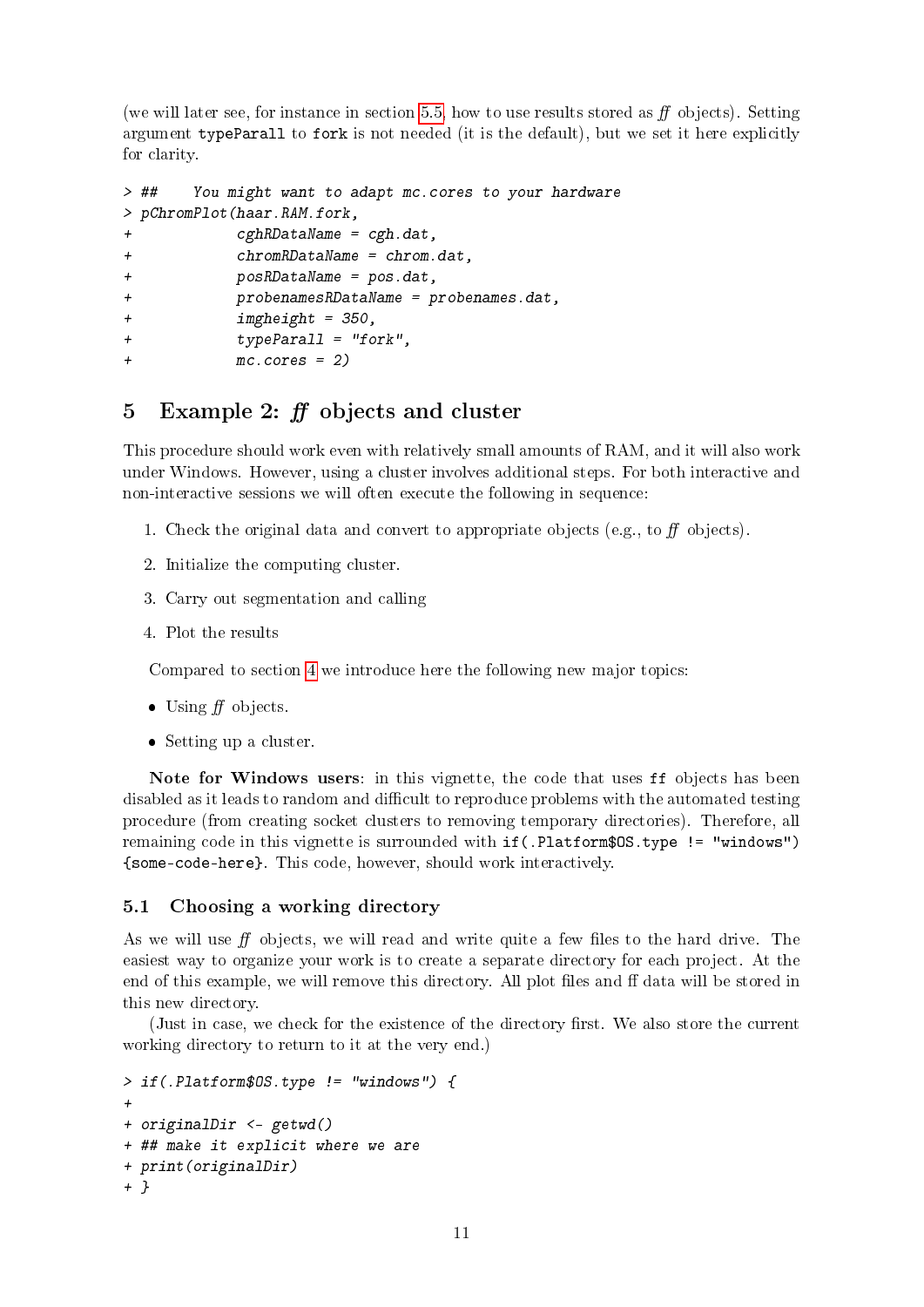(we will later see, for instance in section [5.5,](#page-16-0) how to use results stored as  $f$  objects). Setting argument typeParall to fork is not needed (it is the default), but we set it here explicitly for clarity.

```
> ## You might want to adapt mc.cores to your hardware
> pChromPlot(haar.RAM.fork,
+ cghRDataName = cgh.dat,
+ chromRDataName = chrom.dat,
+ posRDataName = pos.dat,
+ probenamesRDataName = probenames.dat,
+ imgheight = 350,
+ typeParall = "fork",
+ mc.cores = 2)
```
## <span id="page-10-0"></span>5 Example 2:  $ff$  objects and cluster

This procedure should work even with relatively small amounts of RAM, and it will also work under Windows. However, using a cluster involves additional steps. For both interactive and non-interactive sessions we will often execute the following in sequence:

- 1. Check the original data and convert to appropriate objects (e.g., to  $f\bar{f}$  objects).
- 2. Initialize the computing cluster.
- 3. Carry out segmentation and calling
- 4. Plot the results

Compared to section [4](#page-5-0) we introduce here the following new major topics:

- $\bullet$  Using  $f\!f$  objects.
- Setting up a cluster.

Note for Windows users: in this vignette, the code that uses ff objects has been disabled as it leads to random and difficult to reproduce problems with the automated testing procedure (from creating socket clusters to removing temporary directories). Therefore, all remaining code in this vignette is surrounded with if(.Platform\$OS.type != "windows") {some-code-here}. This code, however, should work interactively.

## <span id="page-10-1"></span>5.1 Choosing a working directory

As we will use  $f\!f$  objects, we will read and write quite a few files to the hard drive. The easiest way to organize your work is to create a separate directory for each project. At the end of this example, we will remove this directory. All plot files and ff data will be stored in this new directory.

(Just in case, we check for the existence of the directory first. We also store the current working directory to return to it at the very end.)

```
> if(.Platform$OS.type != "windows") {
+
+ originalDir <- getwd()
+ ## make it explicit where we are
+ print(originalDir)
+ }
```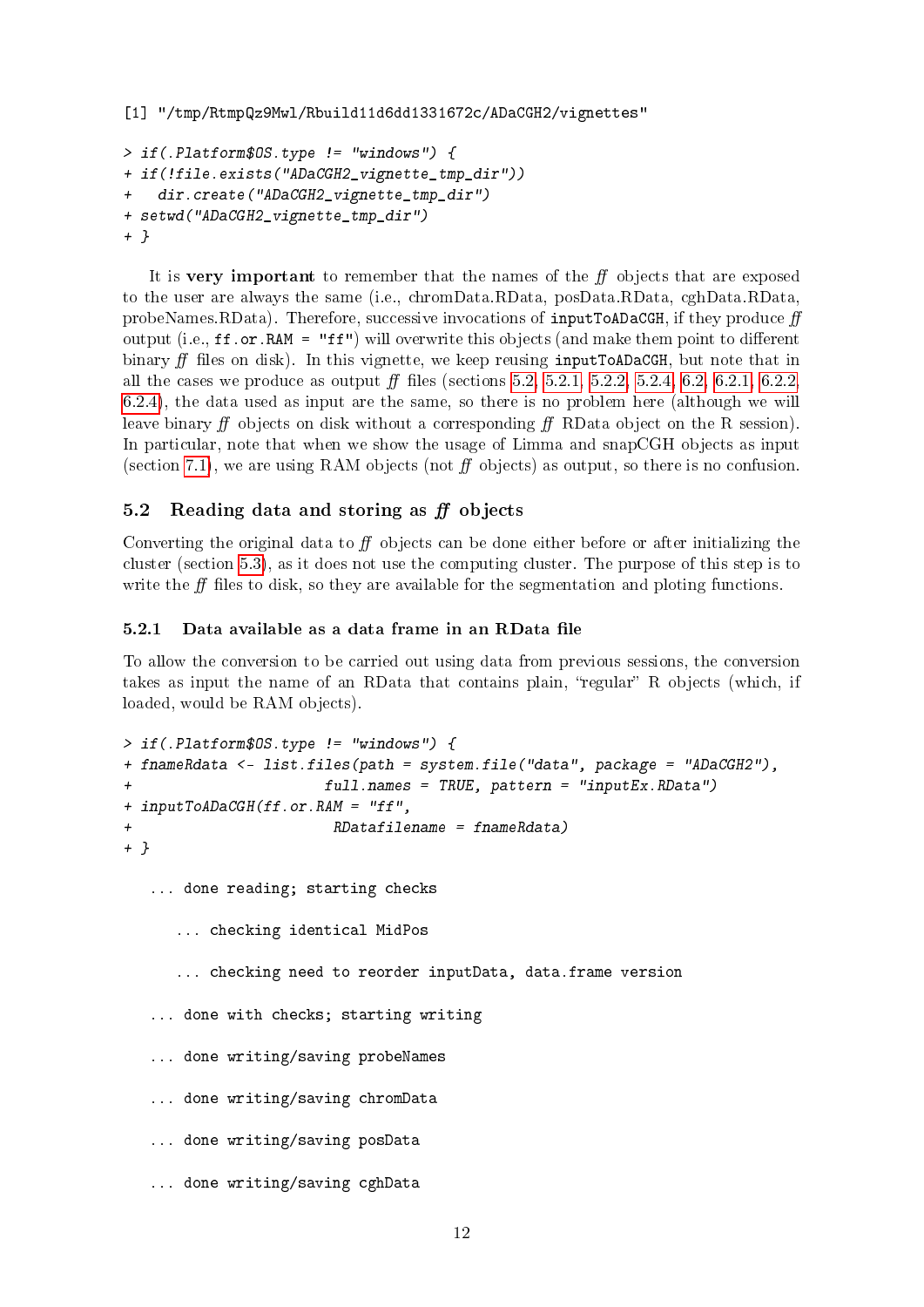```
[1] "/tmp/RtmpQz9Mwl/Rbuild11d6dd1331672c/ADaCGH2/vignettes"
> if(.Platform$OS.type != "windows") {
+ if(!file.exists("ADaCGH2_vignette_tmp_dir"))
   dir.create("ADaCGH2_vignette_tmp_dir")
+ setwd("ADaCGH2_vignette_tmp_dir")
+ }
```
It is very important to remember that the names of the  $f\!f$  objects that are exposed to the user are always the same (i.e., chromData.RData, posData.RData, cghData.RData, probeNames.RData). Therefore, successive invocations of inputToADaCGH, if they produce  $ff$ output (i.e.,  $\texttt{ff}.\texttt{or.RAM} = \texttt{"ff"}$ ) will overwrite this objects (and make them point to different binary  $\hat{H}$  files on disk). In this vignette, we keep reusing inputToADaCGH, but note that in all the cases we produce as output  $f\!f$  files (sections [5.2,](#page-11-0) [5.2.1,](#page-11-1) [5.2.2,](#page-12-0) [5.2.4,](#page-13-0) [6.2,](#page-17-1) [6.2.1,](#page-17-2) [6.2.2,](#page-17-3) [6.2.4\)](#page-18-1), the data used as input are the same, so there is no problem here (although we will leave binary  $f f$  objects on disk without a corresponding  $f f RData$  object on the R session). In particular, note that when we show the usage of Limma and snapCGH objects as input (section [7.1\)](#page-23-1), we are using RAM objects (not  $f\bar{f}$  objects) as output, so there is no confusion.

## <span id="page-11-0"></span>5.2 Reading data and storing as  $ff$  objects

Converting the original data to  $f\bar{f}$  objects can be done either before or after initializing the cluster (section [5.3\)](#page-14-3), as it does not use the computing cluster. The purpose of this step is to write the  $\hat{H}$  files to disk, so they are available for the segmentation and ploting functions.

#### <span id="page-11-1"></span> $5.2.1$  Data available as a data frame in an RData file

To allow the conversion to be carried out using data from previous sessions, the conversion takes as input the name of an RData that contains plain, "regular" R objects (which, if loaded, would be RAM objects).

```
> if(.Platform$OS.type != "windows") {
+ fnameRdata <- list.files(path = system.file("data", package = "ADaCGH2"),
+ full.names = TRUE, pattern = "inputEx.RData")
+ inputToADaCGH(ff.or.RAM = "ff",
+ RDatafilename = fnameRdata)
+ }
  ... done reading; starting checks
     ... checking identical MidPos
     ... checking need to reorder inputData, data.frame version
  ... done with checks; starting writing
   ... done writing/saving probeNames
  ... done writing/saving chromData
  ... done writing/saving posData
  ... done writing/saving cghData
```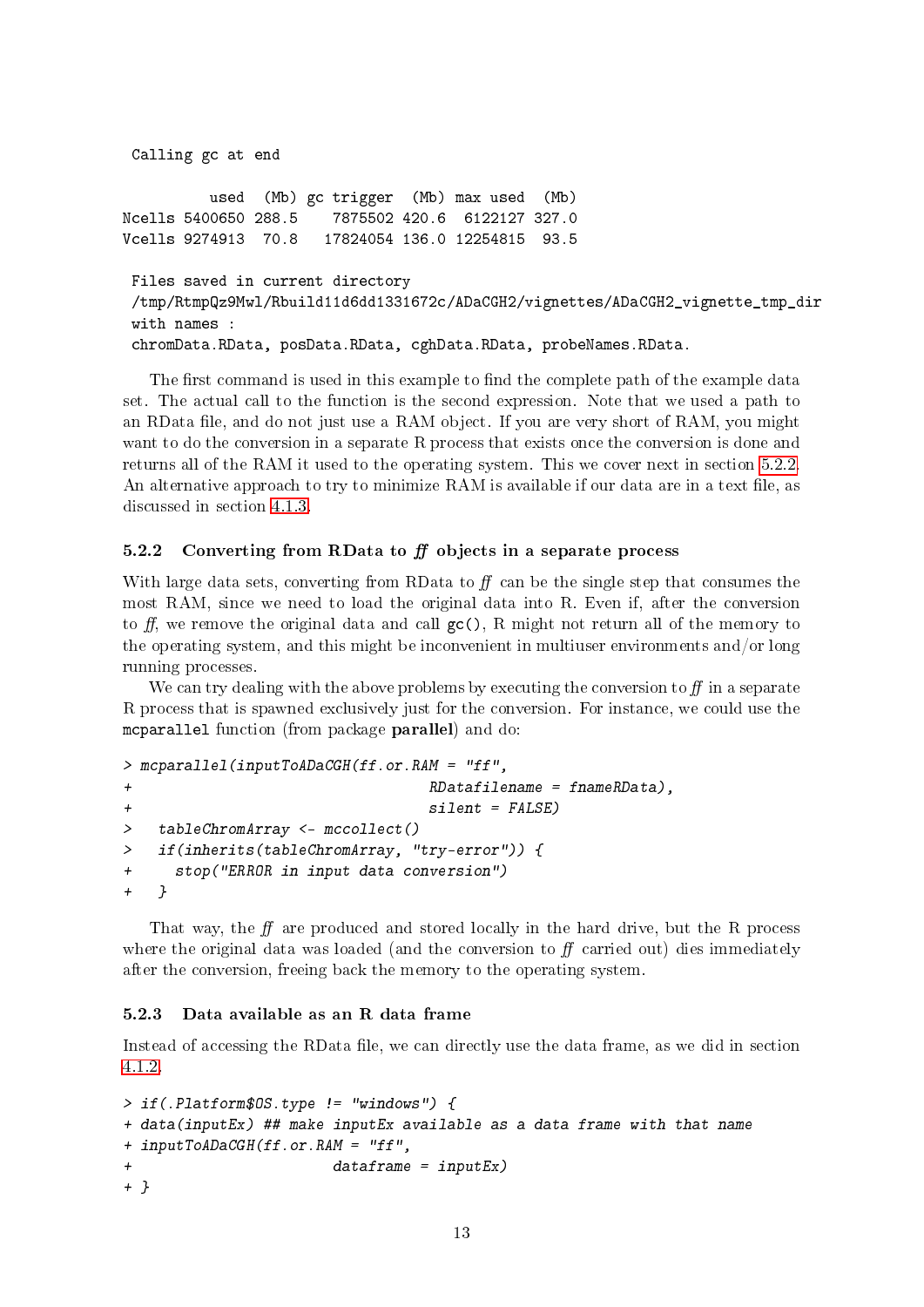```
Calling gc at end
         used (Mb) gc trigger (Mb) max used (Mb)
Ncells 5400650 288.5 7875502 420.6 6122127 327.0
Vcells 9274913 70.8 17824054 136.0 12254815 93.5
Files saved in current directory
/tmp/RtmpQz9Mwl/Rbuild11d6dd1331672c/ADaCGH2/vignettes/ADaCGH2_vignette_tmp_dir
with names :
chromData.RData, posData.RData, cghData.RData, probeNames.RData.
```
The first command is used in this example to find the complete path of the example data set. The actual call to the function is the second expression. Note that we used a path to an RData file, and do not just use a RAM object. If you are very short of RAM, you might want to do the conversion in a separate R process that exists once the conversion is done and returns all of the RAM it used to the operating system. This we cover next in section [5.2.2.](#page-12-0) An alternative approach to try to minimize RAM is available if our data are in a text file, as discussed in section [4.1.3.](#page-7-0)

## <span id="page-12-0"></span>5.2.2 Converting from RData to  $f\!f$  objects in a separate process

With large data sets, converting from RData to  $f$  can be the single step that consumes the most RAM, since we need to load the original data into R. Even if, after the conversion to ff, we remove the original data and call  $gc()$ , R might not return all of the memory to the operating system, and this might be inconvenient in multiuser environments and/or long running processes.

We can try dealing with the above problems by executing the conversion to  $f$  in a separate R process that is spawned exclusively just for the conversion. For instance, we could use the mcparallel function (from package parallel) and do:

```
> mcparallel(inputToADaCGH(ff.or.RAM = "ff",
+ RDatafilename = fnameRData),
+ silent = FALSE)
> tableChromArray <- mccollect()
> if(inherits(tableChromArray, "try-error")) {
+ stop("ERROR in input data conversion")
+ }
```
That way, the  $f$  are produced and stored locally in the hard drive, but the R process where the original data was loaded (and the conversion to  $f\!f$  carried out) dies immediately after the conversion, freeing back the memory to the operating system.

#### <span id="page-12-1"></span>5.2.3 Data available as an R data frame

Instead of accessing the RData file, we can directly use the data frame, as we did in section [4.1.2.](#page-6-0)

```
> if(.Platform$OS.type != "windows") {
+ data(inputEx) ## make inputEx available as a data frame with that name
+ inputToADaCGH(ff.or.RAM = "ff",
                        dataframe = inputEx)+ }
```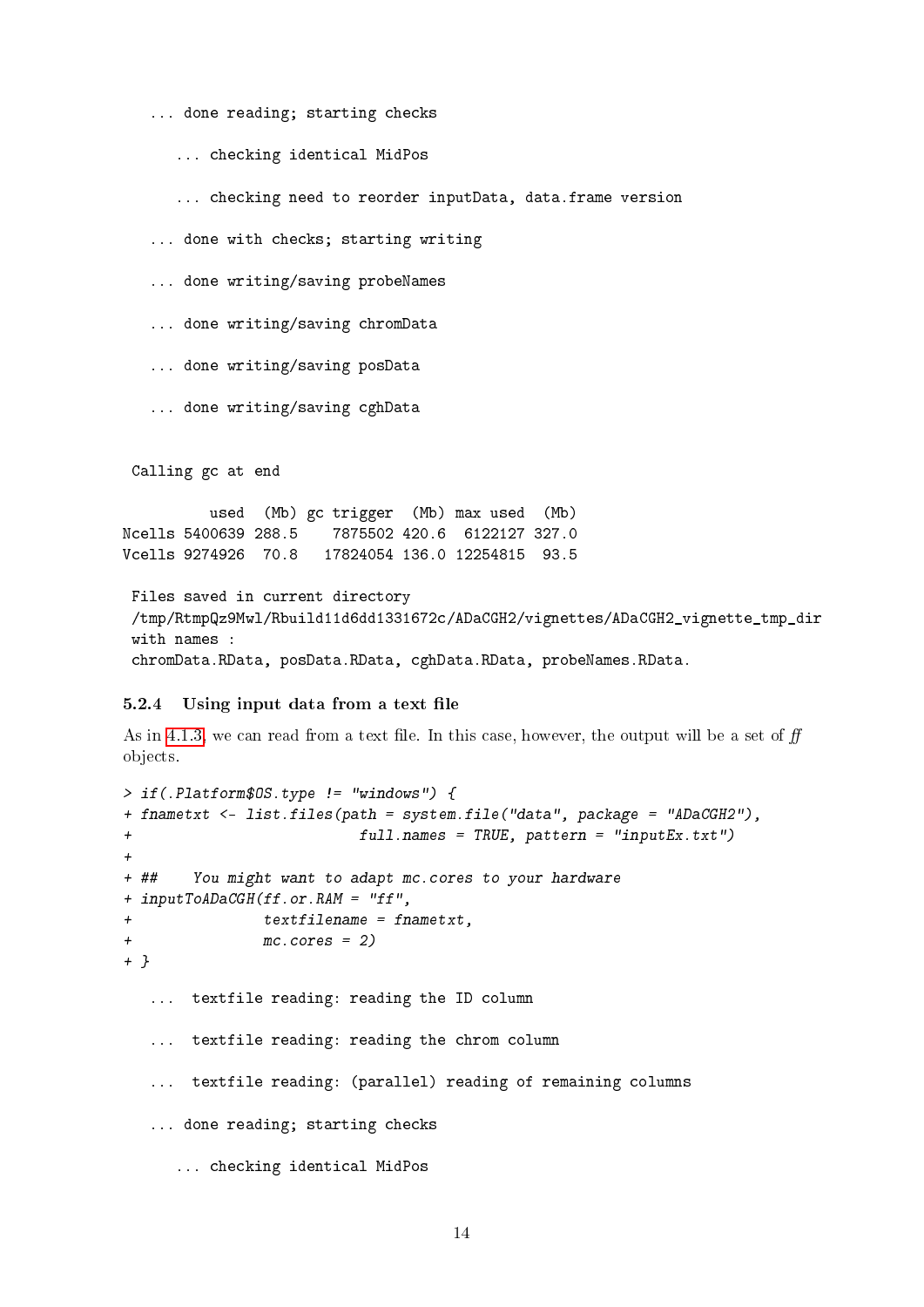... done reading; starting checks

... checking identical MidPos

... checking need to reorder inputData, data.frame version

... done with checks; starting writing

... done writing/saving probeNames

... done writing/saving chromData

... done writing/saving posData

... done writing/saving cghData

Calling gc at end

used (Mb) gc trigger (Mb) max used (Mb) Ncells 5400639 288.5 7875502 420.6 6122127 327.0 Vcells 9274926 70.8 17824054 136.0 12254815 93.5

Files saved in current directory /tmp/RtmpQz9Mwl/Rbuild11d6dd1331672c/ADaCGH2/vignettes/ADaCGH2\_vignette\_tmp\_dir with names : chromData.RData, posData.RData, cghData.RData, probeNames.RData.

### <span id="page-13-0"></span>5.2.4 Using input data from a text file

As in [4.1.3,](#page-7-0) we can read from a text file. In this case, however, the output will be a set of  $f\!f$ objects.

```
> if(.Platform$OS.type != "windows") {
+ fnametxt <- list.files(path = system.file("data", package = "ADaCGH2"),
+ full.names = TRUE, pattern = "inputEx.txt")
+
+ ## You might want to adapt mc.cores to your hardware
+ inputToADaCGH(ff.or.RAM = "ff",
+ textfilename = fnametxt,
              mc.cores = 2)+ }
  ... textfile reading: reading the ID column
  ... textfile reading: reading the chrom column
  ... textfile reading: (parallel) reading of remaining columns
  ... done reading; starting checks
     ... checking identical MidPos
```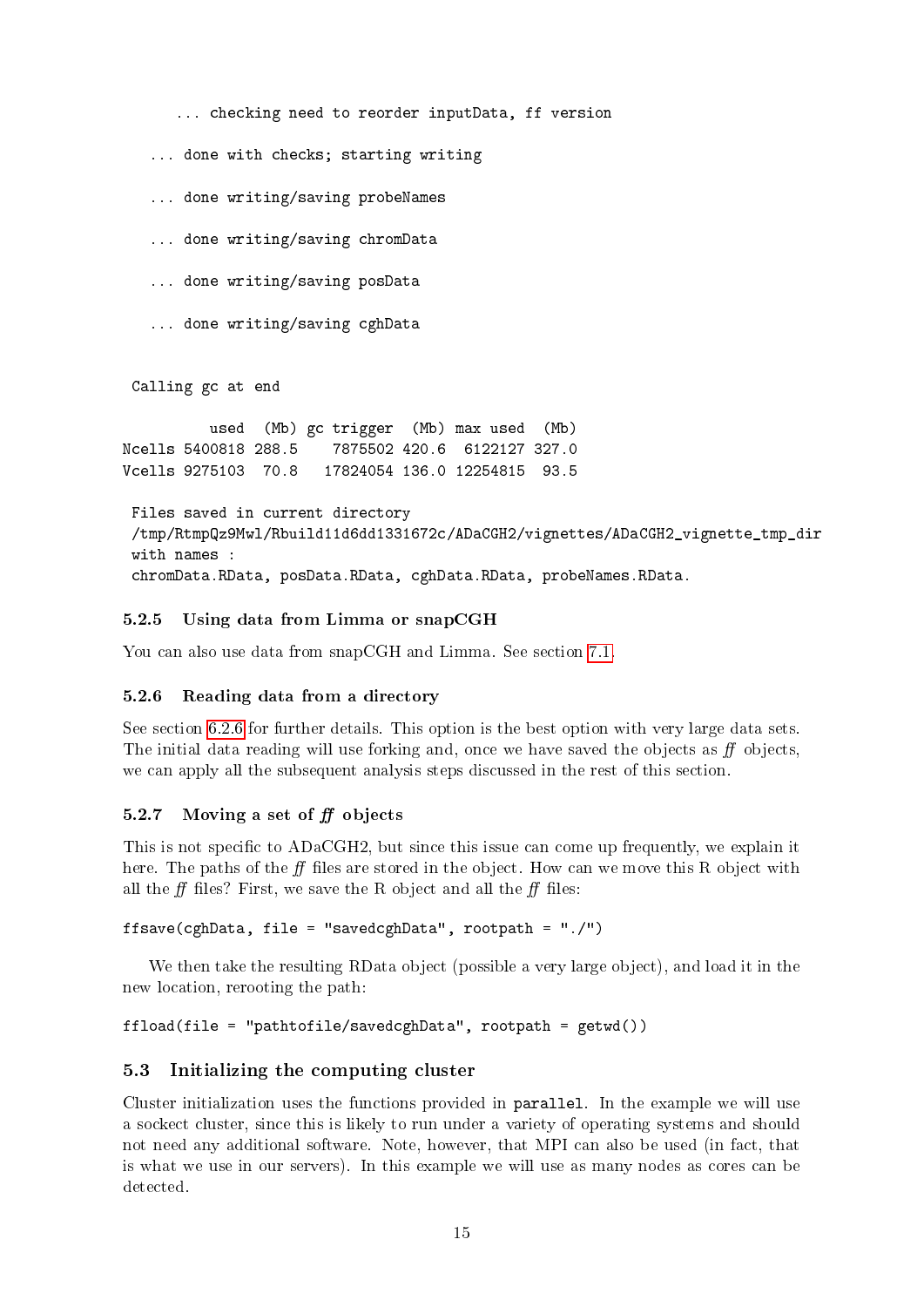... checking need to reorder inputData, ff version

... done with checks; starting writing

... done writing/saving probeNames

... done writing/saving chromData

... done writing/saving posData

... done writing/saving cghData

Calling gc at end

used (Mb) gc trigger (Mb) max used (Mb) Ncells 5400818 288.5 7875502 420.6 6122127 327.0 Vcells 9275103 70.8 17824054 136.0 12254815 93.5

```
Files saved in current directory
/tmp/RtmpQz9Mwl/Rbuild11d6dd1331672c/ADaCGH2/vignettes/ADaCGH2_vignette_tmp_dir
with names :
chromData.RData, posData.RData, cghData.RData, probeNames.RData.
```
#### <span id="page-14-0"></span>5.2.5 Using data from Limma or snapCGH

You can also use data from snapCGH and Limma. See section [7.1.](#page-23-1)

#### <span id="page-14-1"></span>5.2.6 Reading data from a directory

See section [6.2.6](#page-19-1) for further details. This option is the best option with very large data sets. The initial data reading will use forking and, once we have saved the objects as  $f\!f$  objects, we can apply all the subsequent analysis steps discussed in the rest of this section.

#### <span id="page-14-2"></span>5.2.7 Moving a set of  $f\!f$  objects

This is not specific to ADaCGH2, but since this issue can come up frequently, we explain it here. The paths of the  $\bf ff$  files are stored in the object. How can we move this R object with all the  $\hat{H}$  files? First, we save the R object and all the  $\hat{H}$  files:

```
ffsave(cghData, file = "savedcghData", rootpath = "./")
```
We then take the resulting RData object (possible a very large object), and load it in the new location, rerooting the path:

```
ffload(file = "pathtofile/savedcghData", rootpath = getwd())
```
## <span id="page-14-3"></span>5.3 Initializing the computing cluster

Cluster initialization uses the functions provided in parallel. In the example we will use a sockect cluster, since this is likely to run under a variety of operating systems and should not need any additional software. Note, however, that MPI can also be used (in fact, that is what we use in our servers). In this example we will use as many nodes as cores can be detected.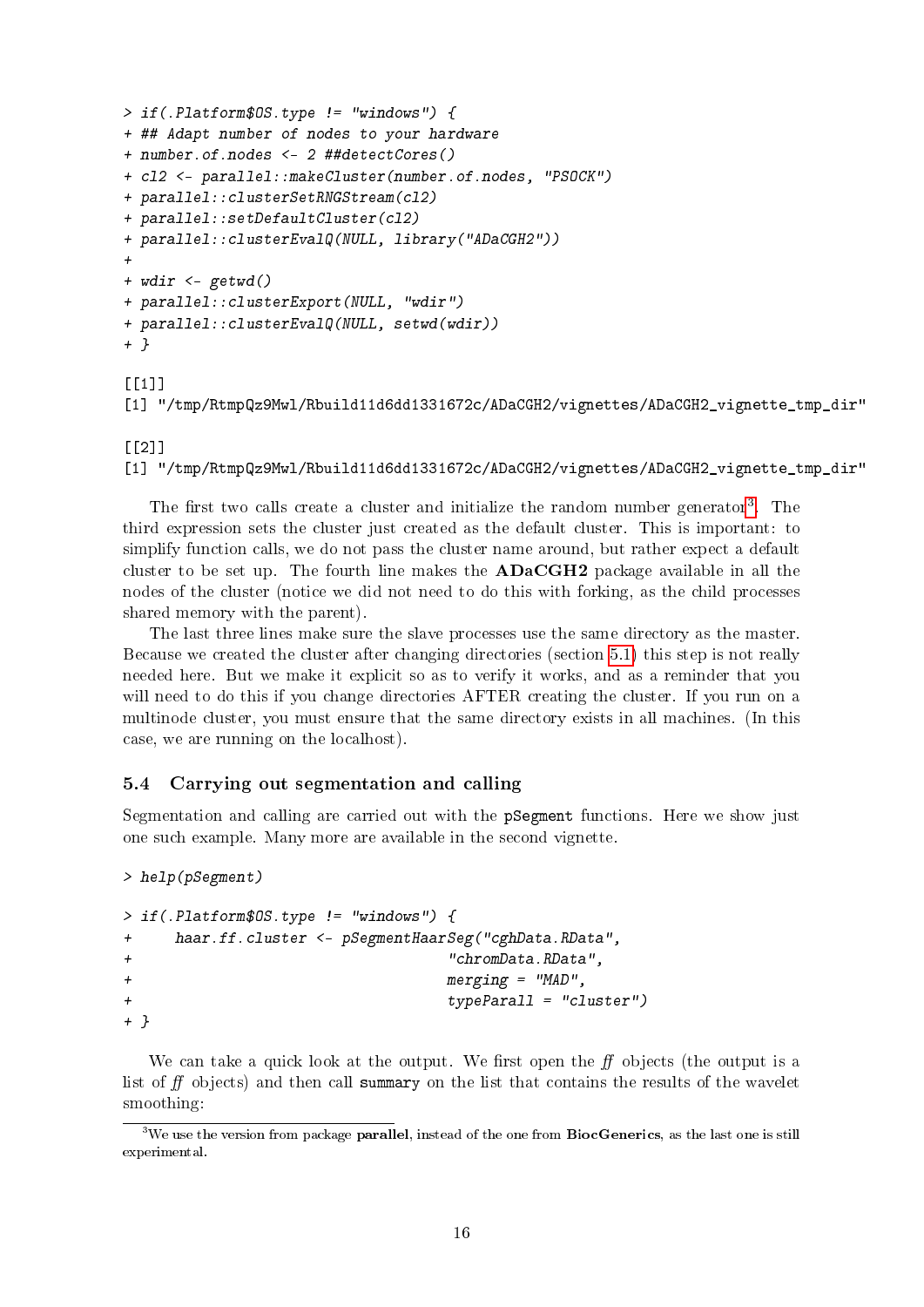```
> if(.Platform$OS.type != "windows") {
+ ## Adapt number of nodes to your hardware
+ number.of.nodes <- 2 ##detectCores()
+ cl2 <- parallel::makeCluster(number.of.nodes, "PSOCK")
+ parallel::clusterSetRNGStream(cl2)
+ parallel::setDefaultCluster(cl2)
+ parallel::clusterEvalQ(NULL, library("ADaCGH2"))
+
+ wdir <- getwd()
+ parallel::clusterExport(NULL, "wdir")
+ parallel::clusterEvalQ(NULL, setwd(wdir))
+ }
[[1]]
```

```
[1] "/tmp/RtmpQz9Mwl/Rbuild11d6dd1331672c/ADaCGH2/vignettes/ADaCGH2_vignette_tmp_dir"
```
#### $[$ [2]]

```
[1] "/tmp/RtmpQz9Mwl/Rbuild11d6dd1331672c/ADaCGH2/vignettes/ADaCGH2_vignette_tmp_dir"
```
The first two calls create a cluster and initialize the random number generator<sup>[3](#page-15-1)</sup>. The third expression sets the cluster just created as the default cluster. This is important: to simplify function calls, we do not pass the cluster name around, but rather expect a default cluster to be set up. The fourth line makes the  $ADaCGH2$  package available in all the nodes of the cluster (notice we did not need to do this with forking, as the child processes shared memory with the parent).

The last three lines make sure the slave processes use the same directory as the master. Because we created the cluster after changing directories (section [5.1\)](#page-10-1) this step is not really needed here. But we make it explicit so as to verify it works, and as a reminder that you will need to do this if you change directories AFTER creating the cluster. If you run on a multinode cluster, you must ensure that the same directory exists in all machines. (In this case, we are running on the localhost).

#### <span id="page-15-0"></span>5.4 Carrying out segmentation and calling

Segmentation and calling are carried out with the pSegment functions. Here we show just one such example. Many more are available in the second vignette.

```
> help(pSegment)
```

```
> if(.Platform$OS.type != "windows") {
+ haar.ff.cluster <- pSegmentHaarSeg("cghData.RData",
+ "chromData.RData",
+ merging = "MAD",
+ typeParall = "cluster")
+ }
```
We can take a quick look at the output. We first open the  $f\bar{f}$  objects (the output is a list of  $f\!f$  objects) and then call summary on the list that contains the results of the wavelet smoothing:

<span id="page-15-1"></span><sup>&</sup>lt;sup>3</sup>We use the version from package **parallel**, instead of the one from **BiocGenerics**, as the last one is still experimental.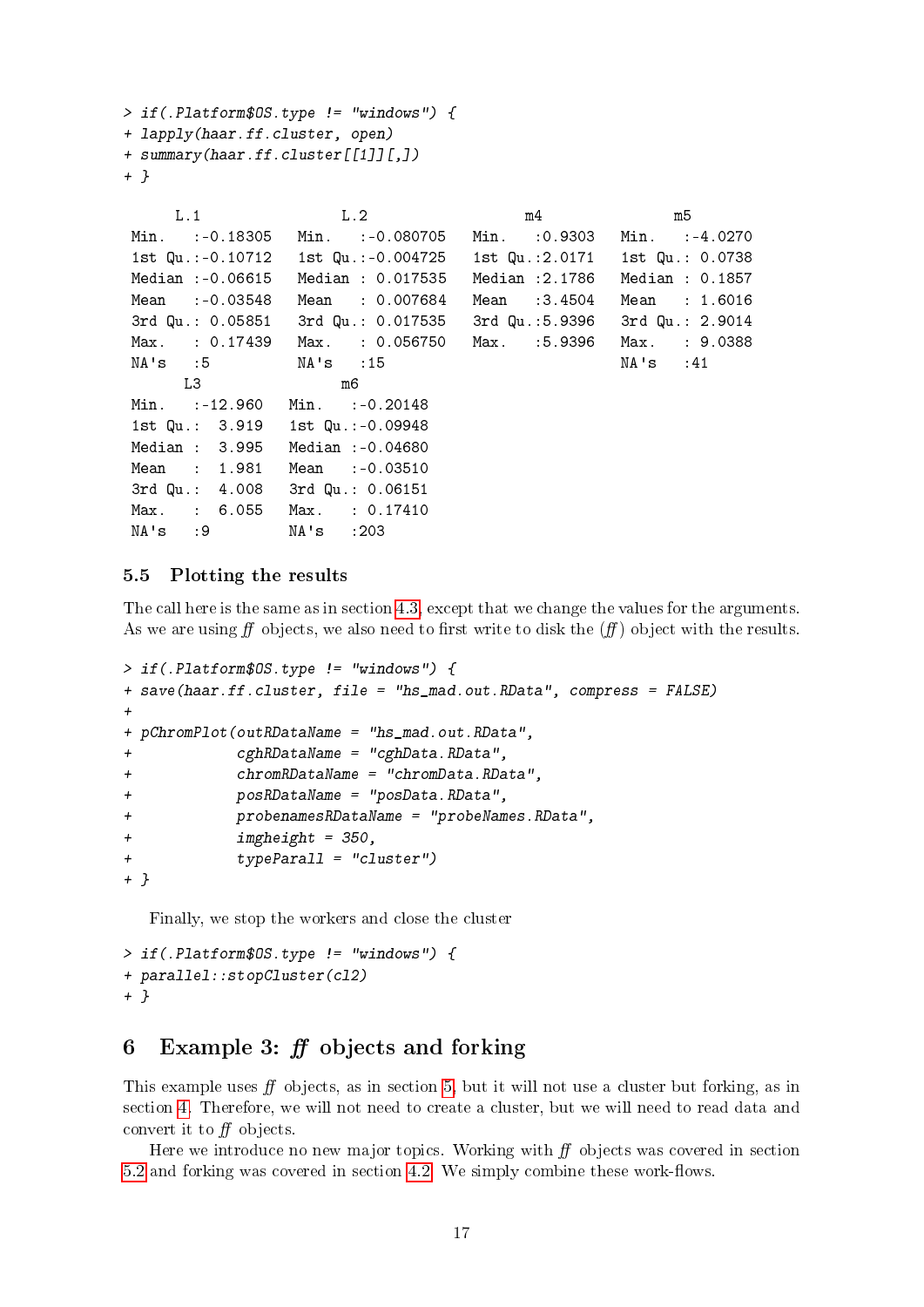```
> if(.Platform$OS.type != "windows") {
+ lapply(haar.ff.cluster, open)
+ summary(haar.ff.cluster[[1]][,])
+ }
```

| L.1                             | L.2                                                                     | m4             | m5              |
|---------------------------------|-------------------------------------------------------------------------|----------------|-----------------|
|                                 | Min. :-0.18305 Min. :-0.080705 Min. :0.9303 Min. :-4.0270               |                |                 |
|                                 | 1st Qu.:-0.10712   1st Qu.:-0.004725   1st Qu.:2.0171   1st Qu.: 0.0738 |                |                 |
| Median :-0.06615                | Median : 0.017535                                                       | Median :2.1786 | Median : 0.1857 |
| Mean :-0.03548                  | Mean : 0.007684                                                         | Mean :3.4504   | Mean : 1.6016   |
|                                 | 3rd Qu.: 0.05851 3rd Qu.: 0.017535 3rd Qu.:5.9396 3rd Qu.: 2.9014       |                |                 |
|                                 | Max. : 0.17439 Max. : 0.056750 Max. :5.9396                             |                | Max. : 9.0388   |
| NA's :5 NA's :15                |                                                                         |                | NA's :41        |
| L3                              | m6                                                                      |                |                 |
| Min. :-12.960                   | Min. :-0.20148                                                          |                |                 |
| 1st Qu.: 3.919 1st Qu.:-0.09948 |                                                                         |                |                 |
| Median : 3.995 Median :-0.04680 |                                                                         |                |                 |
| Mean : 1.981                    | Mean :-0.03510                                                          |                |                 |
| 3rd Qu.: 4.008 3rd Qu.: 0.06151 |                                                                         |                |                 |
| Max. : 6.055 Max. : 0.17410     |                                                                         |                |                 |
| NA's :9 NA's :203               |                                                                         |                |                 |

### <span id="page-16-0"></span>5.5 Plotting the results

The call here is the same as in section [4.3,](#page-9-0) except that we change the values for the arguments. As we are using  $f\bar{f}$  objects, we also need to first write to disk the  $(f\bar{f})$  object with the results.

```
> if(.Platform$OS.type != "windows") {
+ save(haar.ff.cluster, file = "hs_mad.out.RData", compress = FALSE)
+
+ pChromPlot(outRDataName = "hs_mad.out.RData",
+ cghRDataName = "cghData.RData",
+ chromRDataName = "chromData.RData",
+ posRDataName = "posData.RData",
+ probenamesRDataName = "probeNames.RData",
+ imgheight = 350,
+ typeParall = "cluster")
+ }
```
Finally, we stop the workers and close the cluster

```
> if(.Platform$OS.type != "windows") {
+ parallel::stopCluster(cl2)
+ }
```
## <span id="page-16-1"></span>6 Example 3:  $ff$  objects and forking

This example uses  $f\!f$  objects, as in section [5,](#page-10-0) but it will not use a cluster but forking, as in section [4.](#page-5-0) Therefore, we will not need to create a cluster, but we will need to read data and convert it to  $f\bar{f}$  objects.

Here we introduce no new major topics. Working with  $ff$  objects was covered in section  $5.2$  and forking was covered in section [4.2.](#page-8-2) We simply combine these work-flows.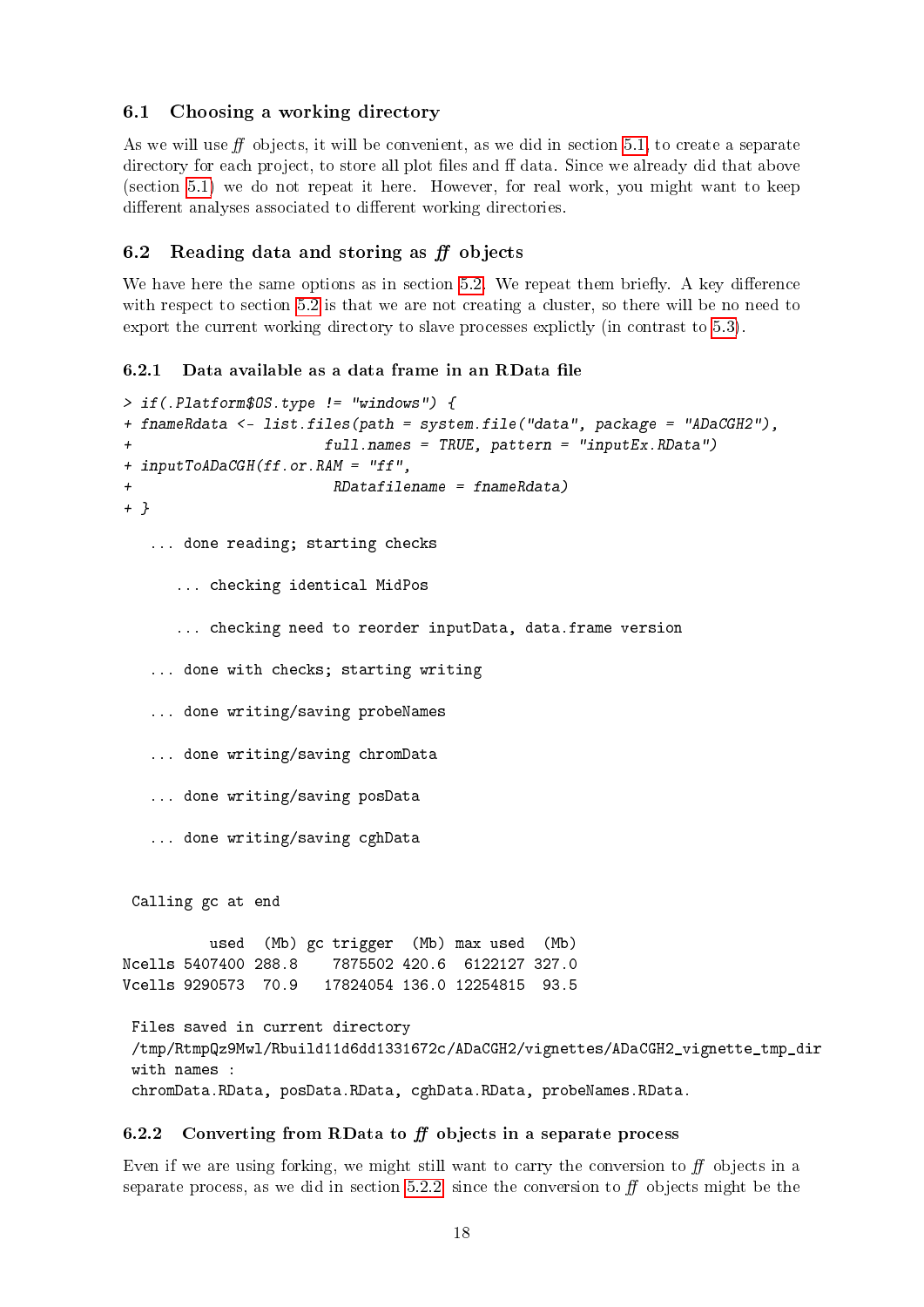### <span id="page-17-0"></span>6.1 Choosing a working directory

As we will use  $f\!f$  objects, it will be convenient, as we did in section [5.1,](#page-10-1) to create a separate directory for each project, to store all plot files and ff data. Since we already did that above (section [5.1\)](#page-10-1) we do not repeat it here. However, for real work, you might want to keep different analyses associated to different working directories.

## <span id="page-17-1"></span>6.2 Reading data and storing as  $f\!f$  objects

We have here the same options as in section  $5.2$ . We repeat them briefly. A key difference with respect to section [5.2](#page-11-0) is that we are not creating a cluster, so there will be no need to export the current working directory to slave processes explictly (in contrast to [5.3\)](#page-14-3).

### <span id="page-17-2"></span> $6.2.1$  Data available as a data frame in an RData file

```
> if(.Platform$OS.type != "windows") {
+ fnameRdata <- list.files(path = system.file("data", package = "ADaCGH2"),
                      + full.names = TRUE, pattern = "inputEx.RData")
+ inputToADaCGH(ff.or.RAM = "ff",
+ RDatafilename = fnameRdata)
+ }
   ... done reading; starting checks
      ... checking identical MidPos
      ... checking need to reorder inputData, data.frame version
   ... done with checks; starting writing
   ... done writing/saving probeNames
   ... done writing/saving chromData
   ... done writing/saving posData
   ... done writing/saving cghData
 Calling gc at end
         used (Mb) gc trigger (Mb) max used (Mb)
Ncells 5407400 288.8 7875502 420.6 6122127 327.0
Vcells 9290573 70.9 17824054 136.0 12254815 93.5
Files saved in current directory
 /tmp/RtmpQz9Mwl/Rbuild11d6dd1331672c/ADaCGH2/vignettes/ADaCGH2_vignette_tmp_dir
with names :
 chromData.RData, posData.RData, cghData.RData, probeNames.RData.
```
## <span id="page-17-3"></span>6.2.2 Converting from RData to  $f\bar{f}$  objects in a separate process

Even if we are using forking, we might still want to carry the conversion to  $f<sub>f</sub>$  objects in a separate process, as we did in section [5.2.2,](#page-12-0) since the conversion to  $f\!f$  objects might be the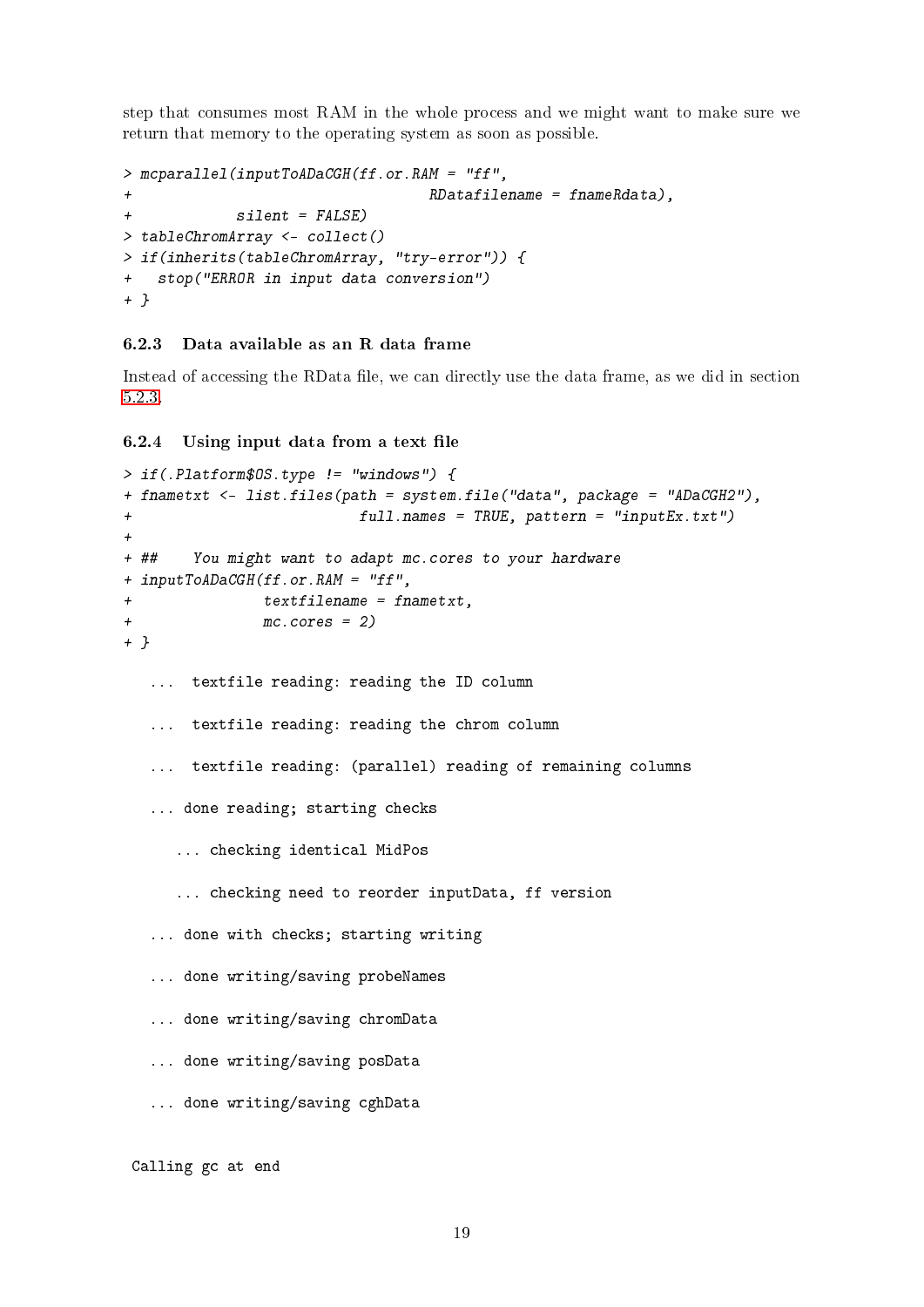step that consumes most RAM in the whole process and we might want to make sure we return that memory to the operating system as soon as possible.

```
> mcparallel(inputToADaCGH(ff.or.RAM = "ff",
+ RDatafilename = fnameRdata),
+ silent = FALSE)
> tableChromArray <- collect()
> if(inherits(tableChromArray, "try-error")) {
+ stop("ERROR in input data conversion")
+ }
```
#### <span id="page-18-0"></span>6.2.3 Data available as an R data frame

Instead of accessing the RData file, we can directly use the data frame, as we did in section [5.2.3.](#page-12-1)

<span id="page-18-1"></span> $6.2.4$  Using input data from a text file

```
> if(.Platform$OS.type != "windows") {
+ fnametxt <- list.files(path = system.file("data", package = "ADaCGH2"),
+ full.names = TRUE, pattern = "inputEx.txt")
+
+ ## You might want to adapt mc.cores to your hardware
+ inputToADaCGH(ff.or.RAM = "ff",
+ textfilename = fnametxt,
+ mc.cores = 2)
+ }
  ... textfile reading: reading the ID column
  ... textfile reading: reading the chrom column
  ... textfile reading: (parallel) reading of remaining columns
  ... done reading; starting checks
     ... checking identical MidPos
     ... checking need to reorder inputData, ff version
  ... done with checks; starting writing
  ... done writing/saving probeNames
  ... done writing/saving chromData
  ... done writing/saving posData
  ... done writing/saving cghData
Calling gc at end
```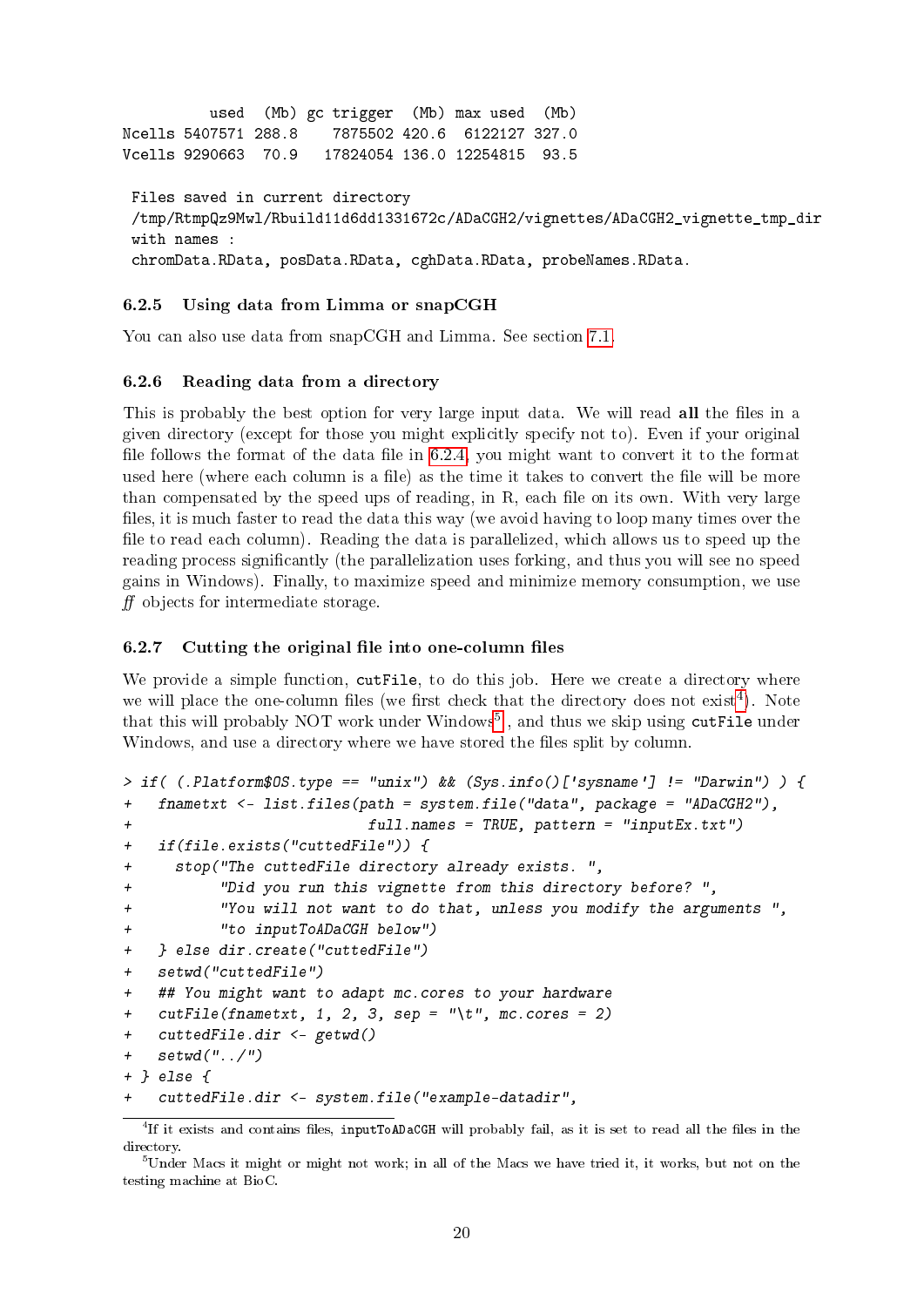```
used (Mb) gc trigger (Mb) max used (Mb)
Ncells 5407571 288.8 7875502 420.6 6122127 327.0
Vcells 9290663 70.9 17824054 136.0 12254815 93.5
Files saved in current directory
 /tmp/RtmpQz9Mwl/Rbuild11d6dd1331672c/ADaCGH2/vignettes/ADaCGH2_vignette_tmp_dir
with names :
 chromData.RData, posData.RData, cghData.RData, probeNames.RData.
```
#### <span id="page-19-0"></span>6.2.5 Using data from Limma or snapCGH

You can also use data from snapCGH and Limma. See section [7.1.](#page-23-1)

### <span id="page-19-1"></span>6.2.6 Reading data from a directory

This is probably the best option for very large input data. We will read all the files in a given directory (except for those you might explicitly specify not to). Even if your original file follows the format of the data file in  $6.2.4$ , you might want to convert it to the format used here (where each column is a file) as the time it takes to convert the file will be more than compensated by the speed ups of reading, in  $R$ , each file on its own. With very large files, it is much faster to read the data this way (we avoid having to loop many times over the file to read each column). Reading the data is parallelized, which allows us to speed up the reading process significantly (the parallelization uses forking, and thus you will see no speed gains in Windows). Finally, to maximize speed and minimize memory consumption, we use  $f\!f$  objects for intermediate storage.

#### <span id="page-19-2"></span> $6.2.7$  Cutting the original file into one-column files

We provide a simple function, cutFile, to do this job. Here we create a directory where we will place the one-column files (we first check that the directory does not  $ext{exit}^4$  $ext{exit}^4$ ). Note that this will probably NOT work under Windows<sup>[5](#page-19-4)</sup>, and thus we skip using cutFile under Windows, and use a directory where we have stored the files split by column.

```
> if( (.Platform$OS.type == "unix") && (Sys.info()['sysname'] != "Darwin") ) {
+ fnametxt <- list.files(path = system.file("data", package = "ADaCGH2"),
+ full.names = TRUE, pattern = "inputEx.txt")
+ if(file.exists("cuttedFile")) {
+ stop("The cuttedFile directory already exists. ",
+ "Did you run this vignette from this directory before? ",
+ "You will not want to do that, unless you modify the arguments ",
+ "to inputToADaCGH below")
+ } else dir.create("cuttedFile")
+ setwd("cuttedFile")
+ ## You might want to adapt mc.cores to your hardware
+ cutFile(fnametxt, 1, 2, 3, sep = "\t", mc.cores = 2)
+ cuttedFile.dir <- getwd()
+ setwd("../")
+ } else {
   + cuttedFile.dir <- system.file("example-datadir",
```
<span id="page-19-3"></span> ${}^{4}$ If it exists and contains files, inputToADaCGH will probably fail, as it is set to read all the files in the directory.

<span id="page-19-4"></span> $5$ Under Macs it might or might not work; in all of the Macs we have tried it, it works, but not on the testing machine at BioC.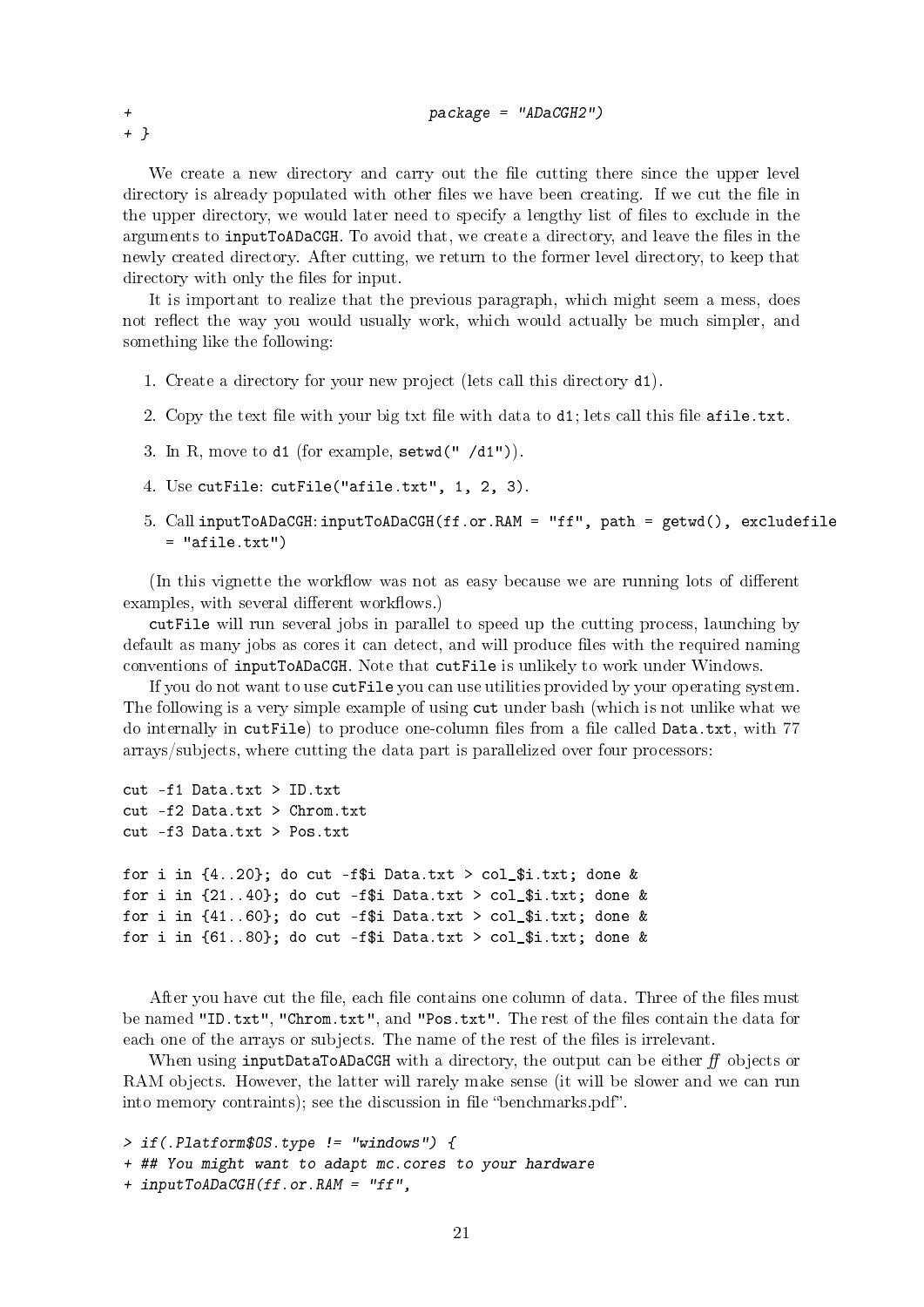We create a new directory and carry out the file cutting there since the upper level directory is already populated with other files we have been creating. If we cut the file in the upper directory, we would later need to specify a lengthy list of files to exclude in the arguments to inputToADaCGH. To avoid that, we create a directory, and leave the files in the newly created directory. After cutting, we return to the former level directory, to keep that directory with only the files for input.

It is important to realize that the previous paragraph, which might seem a mess, does not reflect the way you would usually work, which would actually be much simpler, and something like the following:

- 1. Create a directory for your new project (lets call this directory d1).
- 2. Copy the text file with your big txt file with data to  $d_1$ ; lets call this file  $afile.txt$ .
- 3. In R, move to d1 (for example, setwd(" /d1")).
- 4. Use cutFile: cutFile("afile.txt", 1, 2, 3).
- 5. Call inputToADaCGH: inputToADaCGH(ff.or.RAM = "ff", path = getwd(), excludefile  $=$  "afile.txt")

(In this vignette the workflow was not as easy because we are running lots of different examples, with several different workflows.)

cutFile will run several jobs in parallel to speed up the cutting process, launching by default as many jobs as cores it can detect, and will produce files with the required naming conventions of inputToADaCGH. Note that cutFile is unlikely to work under Windows.

If you do not want to use cutFile you can use utilities provided by your operating system. The following is a very simple example of using cut under bash (which is not unlike what we do internally in cutFile) to produce one-column files from a file called Data.txt, with 77 arrays/subjects, where cutting the data part is parallelized over four processors:

```
cut -f1 Data.txt > ID.txt
cut -f2 Data.txt > Chrom.txt
cut -f3 Data.txt > Pos.txt
for i in \{4..20\}; do cut -f$i Data.txt > col_$i.txt; done &
for i in \{21..40\}; do cut -f$i Data.txt > col_$i.txt; done &
for i in \{41..60\}; do cut -f$i Data.txt > col_$i.txt; done &
for i in \{61..80\}; do cut -f$i Data.txt > col_$i.txt; done &
```
After you have cut the file, each file contains one column of data. Three of the files must be named "ID.txt", "Chrom.txt", and "Pos.txt". The rest of the files contain the data for each one of the arrays or subjects. The name of the rest of the files is irrelevant.

When using inputDataToADaCGH with a directory, the output can be either  $f\bar{f}$  objects or RAM objects. However, the latter will rarely make sense (it will be slower and we can run into memory contraints); see the discussion in file "benchmarks.pdf".

> if(.Platform\$OS.type != "windows") { + ## You might want to adapt mc.cores to your hardware + inputToADaCGH(ff.or.RAM = "ff",

+ }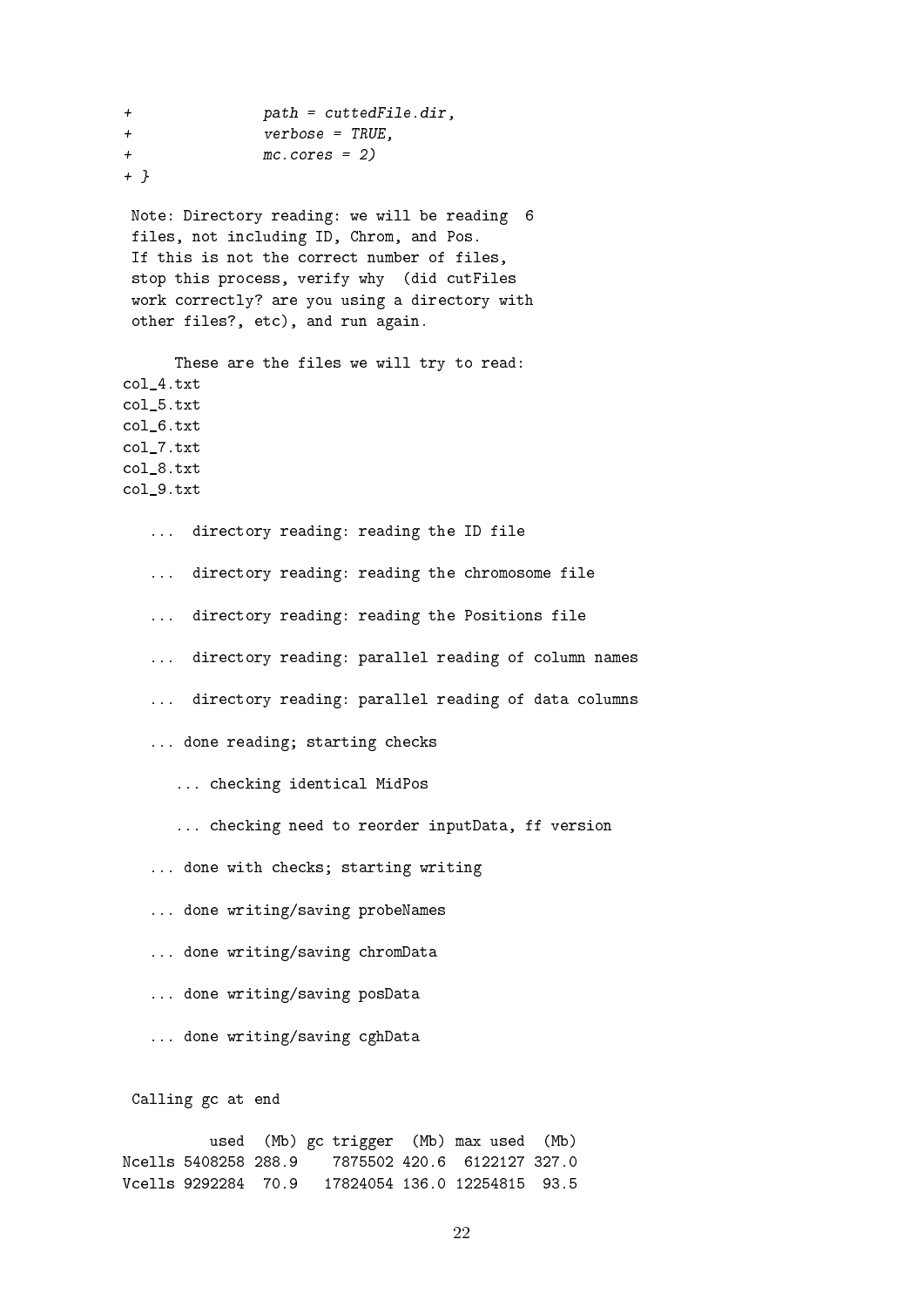+ path = cuttedFile.dir, + verbose = TRUE, + mc.cores = 2) + } Note: Directory reading: we will be reading 6 files, not including ID, Chrom, and Pos. If this is not the correct number of files, stop this process, verify why (did cutFiles work correctly? are you using a directory with other files?, etc), and run again. These are the files we will try to read: col\_4.txt col\_5.txt col\_6.txt col\_7.txt col\_8.txt col\_9.txt ... directory reading: reading the ID file ... directory reading: reading the chromosome file ... directory reading: reading the Positions file ... directory reading: parallel reading of column names ... directory reading: parallel reading of data columns ... done reading; starting checks ... checking identical MidPos ... checking need to reorder inputData, ff version ... done with checks; starting writing ... done writing/saving probeNames ... done writing/saving chromData ... done writing/saving posData ... done writing/saving cghData Calling gc at end used (Mb) gc trigger (Mb) max used (Mb) Ncells 5408258 288.9 7875502 420.6 6122127 327.0

Vcells 9292284 70.9 17824054 136.0 12254815 93.5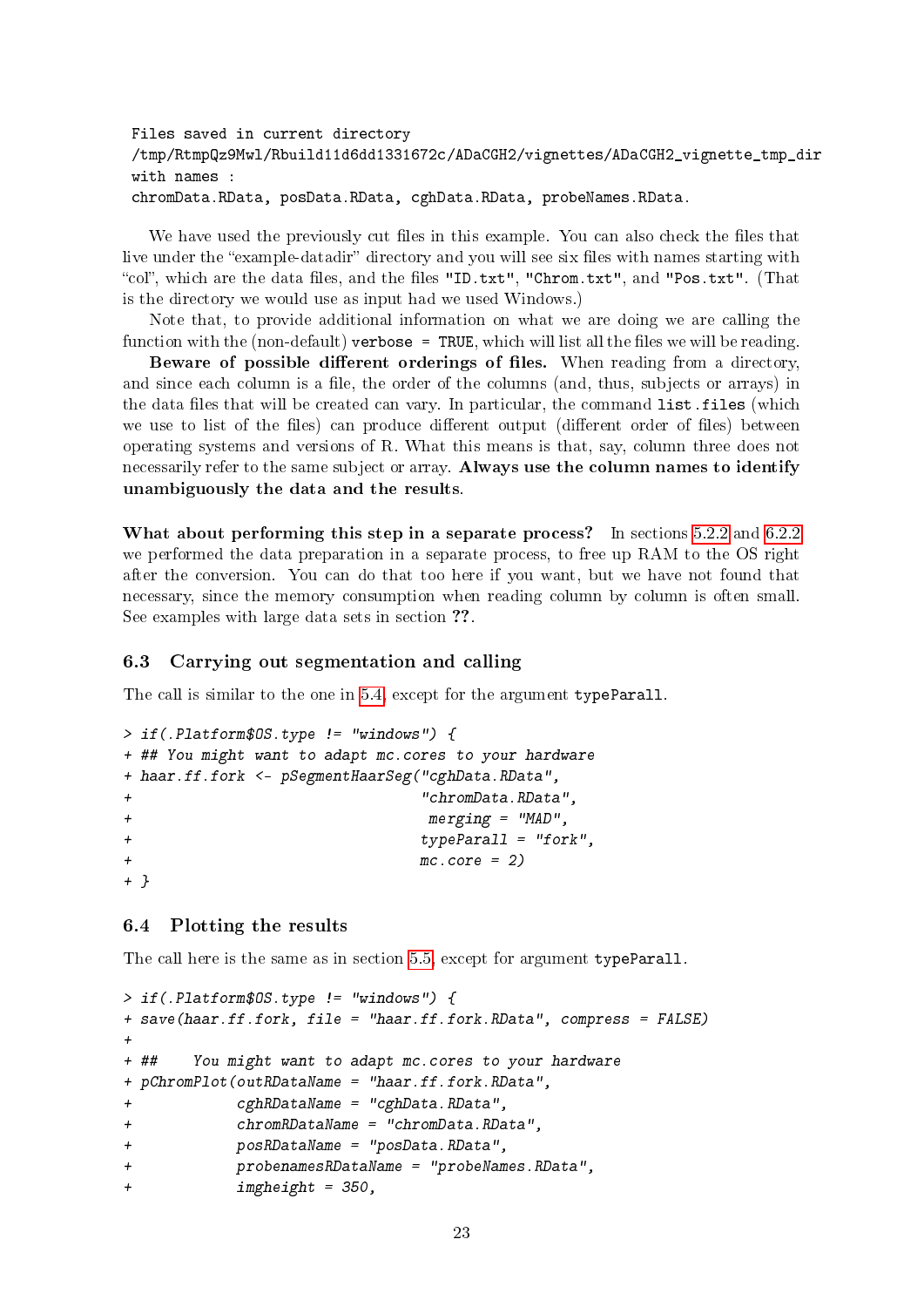```
Files saved in current directory
/tmp/RtmpQz9Mwl/Rbuild11d6dd1331672c/ADaCGH2/vignettes/ADaCGH2_vignette_tmp_dir
with names :
chromData.RData, posData.RData, cghData.RData, probeNames.RData.
```
We have used the previously cut files in this example. You can also check the files that live under the "example-datadir" directory and you will see six files with names starting with "col", which are the data files, and the files "ID.txt", "Chrom.txt", and "Pos.txt". (That is the directory we would use as input had we used Windows.)

Note that, to provide additional information on what we are doing we are calling the function with the (non-default) verbose = TRUE, which will list all the files we will be reading.

Beware of possible different orderings of files. When reading from a directory, and since each column is a file, the order of the columns (and, thus, subjects or arrays) in the data files that will be created can vary. In particular, the command list.files (which we use to list of the files) can produce different output (different order of files) between operating systems and versions of R. What this means is that, say, column three does not necessarily refer to the same subject or array. Always use the column names to identify unambiguously the data and the results.

What about performing this step in a separate process? In sections [5.2.2](#page-12-0) and [6.2.2](#page-17-3) we performed the data preparation in a separate process, to free up RAM to the OS right after the conversion. You can do that too here if you want, but we have not found that necessary, since the memory consumption when reading column by column is often small. See examples with large data sets in section ??.

## <span id="page-22-0"></span>6.3 Carrying out segmentation and calling

The call is similar to the one in [5.4,](#page-15-0) except for the argument typeParall.

```
> if(.Platform$OS.type != "windows") {
+ ## You might want to adapt mc.cores to your hardware
+ haar.ff.fork <- pSegmentHaarSeg("cghData.RData",
+ "chromData.RData",
+ merging = "MAD",
+ typeParall = "fork",
m c.core = 2)+ }
```
### <span id="page-22-1"></span>6.4 Plotting the results

The call here is the same as in section [5.5,](#page-16-0) except for argument typeParall.

```
> if(.Platform$OS.type != "windows") {
+ save(haar.ff.fork, file = "haar.ff.fork.RData", compress = FALSE)
+
+ ## You might want to adapt mc.cores to your hardware
+ pChromPlot(outRDataName = "haar.ff.fork.RData",
+ cghRDataName = "cghData.RData",
+ chromRDataName = "chromData.RData",
+ posRDataName = "posData.RData",
+ probenamesRDataName = "probeNames.RData",
+ imgheight = 350,
```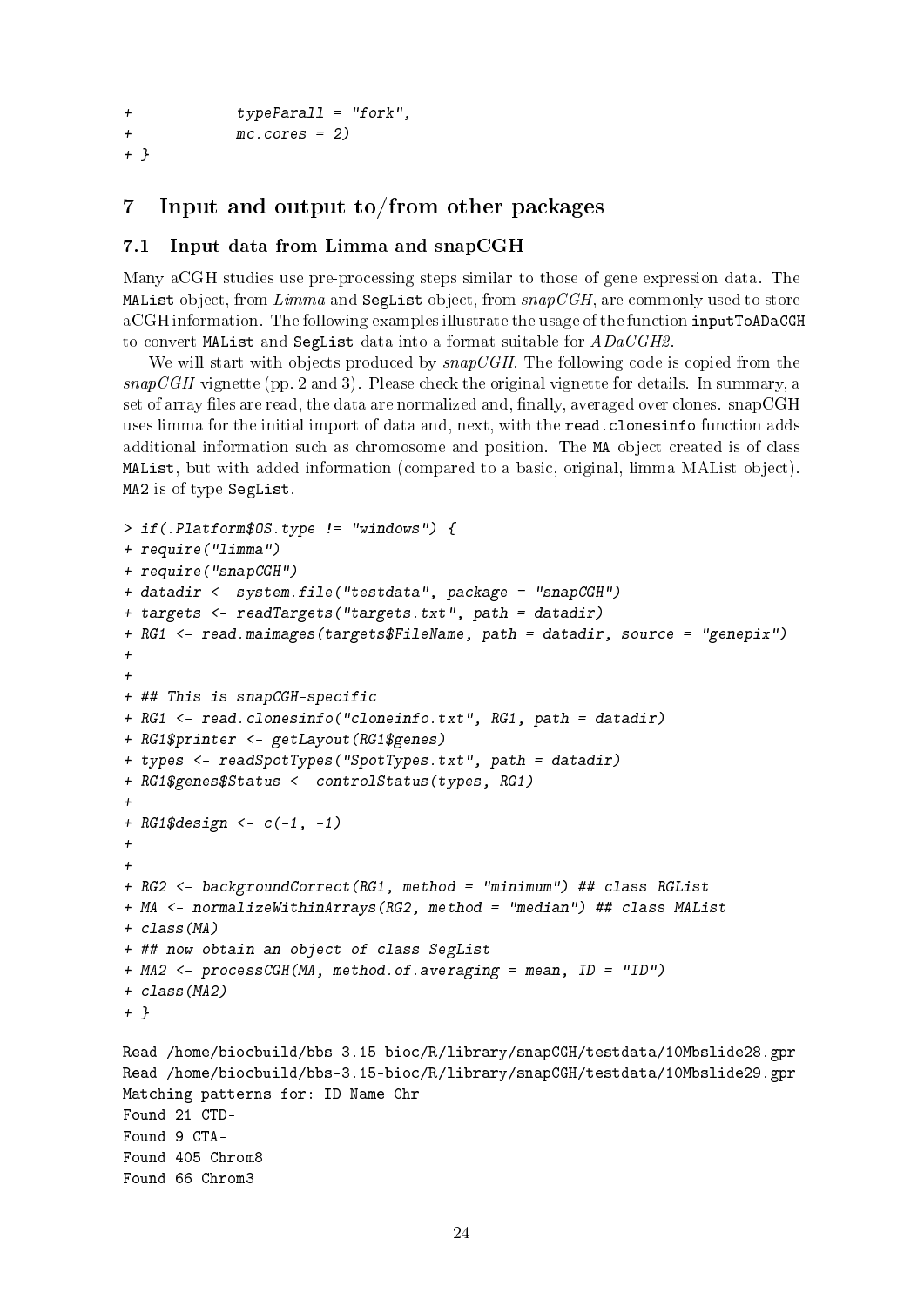```
+ typeParall = "fork",
+ mc.cores = 2)
+ }
```
## <span id="page-23-0"></span>7 Input and output to/from other packages

## <span id="page-23-1"></span>7.1 Input data from Limma and snapCGH

Many aCGH studies use pre-processing steps similar to those of gene expression data. The MAList object, from  $Limma$  and SegList object, from  $snapCGH$ , are commonly used to store aCGH information. The following examples illustrate the usage of the function inputToADaCGH to convert MAList and SegList data into a format suitable for  $ADaCGH2$ .

We will start with objects produced by  $snapCGH$ . The following code is copied from the  $snapCGH$  vignette (pp. 2 and 3). Please check the original vignette for details. In summary, a set of array files are read, the data are normalized and, finally, averaged over clones. snapCGH uses limma for the initial import of data and, next, with the read.clonesinfo function adds additional information such as chromosome and position. The MA object created is of class MAList, but with added information (compared to a basic, original, limma MAList object). MA2 is of type SegList.

```
> if(.Platform$OS.type != "windows") {
+ require("limma")
+ require("snapCGH")
+ datadir <- system.file("testdata", package = "snapCGH")
+ targets <- readTargets("targets.txt", path = datadir)
+ RG1 <- read.maimages(targets$FileName, path = datadir, source = "genepix")
+
+
+ ## This is snapCGH-specific
+ RG1 <- read.clonesinfo("cloneinfo.txt", RG1, path = datadir)
+ RG1$printer <- getLayout(RG1$genes)
+ types <- readSpotTypes("SpotTypes.txt", path = datadir)
+ RG1$genes$Status <- controlStatus(types, RG1)
+
+ RG1\gdesign <- c(-1, -1)+
+
+ RG2 <- backgroundCorrect(RG1, method = "minimum") ## class RGList
+ MA <- normalizeWithinArrays(RG2, method = "median") ## class MAList
+ class(MA)
+ ## now obtain an object of class SegList
+ MA2 <- processCGH(MA, method.of.averaging = mean, ID = "ID")
+ class(MA2)
+ }
Read /home/biocbuild/bbs-3.15-bioc/R/library/snapCGH/testdata/10Mbslide28.gpr
Read /home/biocbuild/bbs-3.15-bioc/R/library/snapCGH/testdata/10Mbslide29.gpr
Matching patterns for: ID Name Chr
Found 21 CTD-
Found 9 CTA-
Found 405 Chrom8
Found 66 Chrom3
```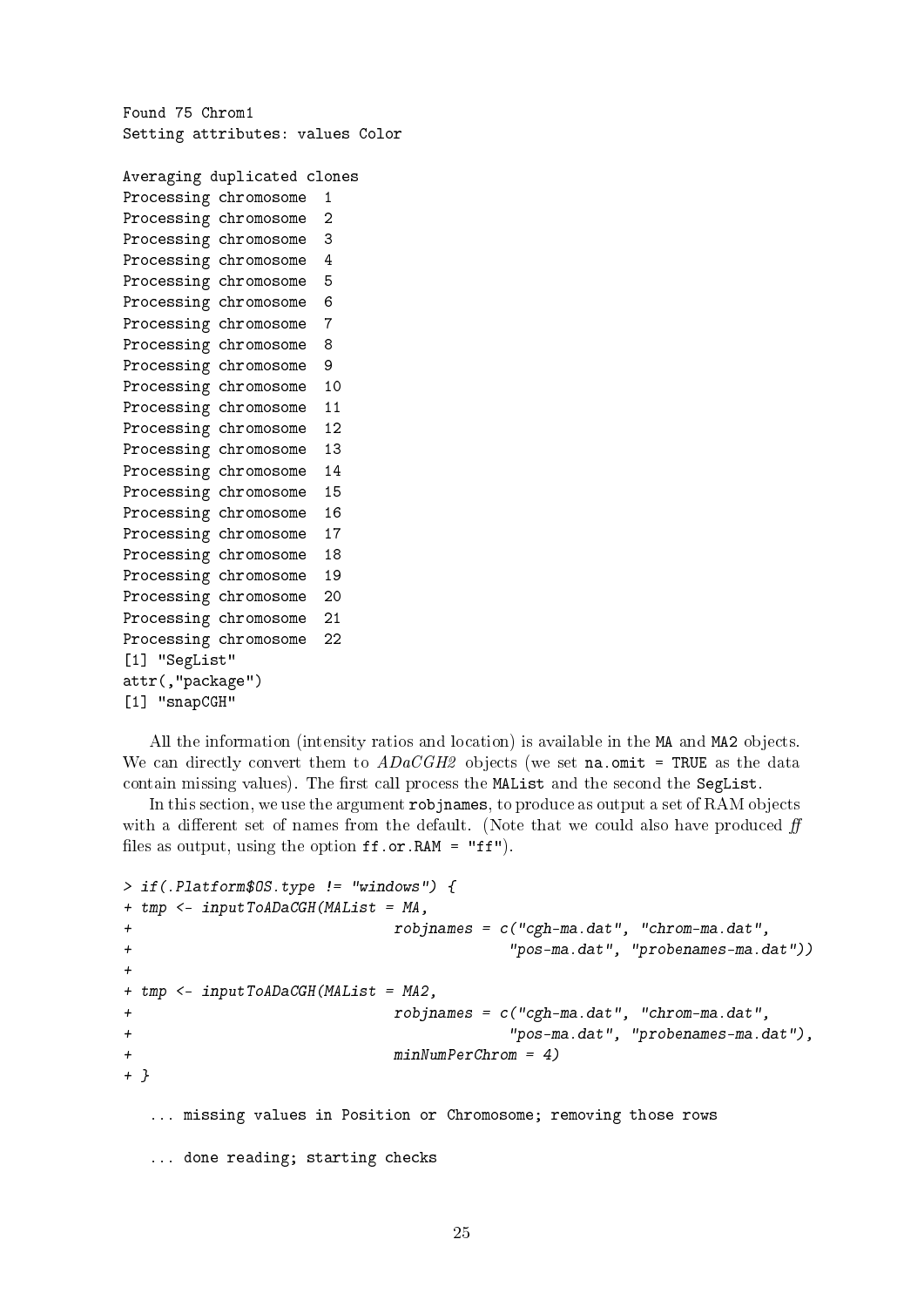Found 75 Chrom1 Setting attributes: values Color

```
Averaging duplicated clones
Processing chromosome 1
Processing chromosome 2
Processing chromosome 3
Processing chromosome 4
Processing chromosome 5
Processing chromosome 6
Processing chromosome 7
Processing chromosome 8
Processing chromosome 9
Processing chromosome 10
Processing chromosome 11
Processing chromosome 12
Processing chromosome 13
Processing chromosome 14
Processing chromosome 15
Processing chromosome 16
Processing chromosome 17
Processing chromosome 18
Processing chromosome 19
Processing chromosome 20
Processing chromosome 21
Processing chromosome 22
[1] "SegList"
attr(,"package")
[1] "snapCGH"
```
All the information (intensity ratios and location) is available in the MA and MA2 objects. We can directly convert them to  $ADaCGH2$  objects (we set na.omit = TRUE as the data contain missing values). The first call process the MAList and the second the SegList.

In this section, we use the argument robjnames, to produce as output a set of RAM objects with a different set of names from the default. (Note that we could also have produced  $f\!f$ files as output, using the option  $ff.$  or  $RAM = "ff"$ ).

```
> if(.Platform$OS.type != "windows") {
+ tmp <- inputToADaCGH(MAList = MA,
+ robjnames = c("cgh-ma.dat", "chrom-ma.dat",
+ "pos-ma.dat", "probenames-ma.dat"))
+
+ tmp <- inputToADaCGH(MAList = MA2,
+ robjnames = c("cgh-ma.dat", "chrom-ma.dat",
+ "pos-ma.dat", "probenames-ma.dat"),
+ minNumPerChrom = 4)
+ }
  ... missing values in Position or Chromosome; removing those rows
  ... done reading; starting checks
```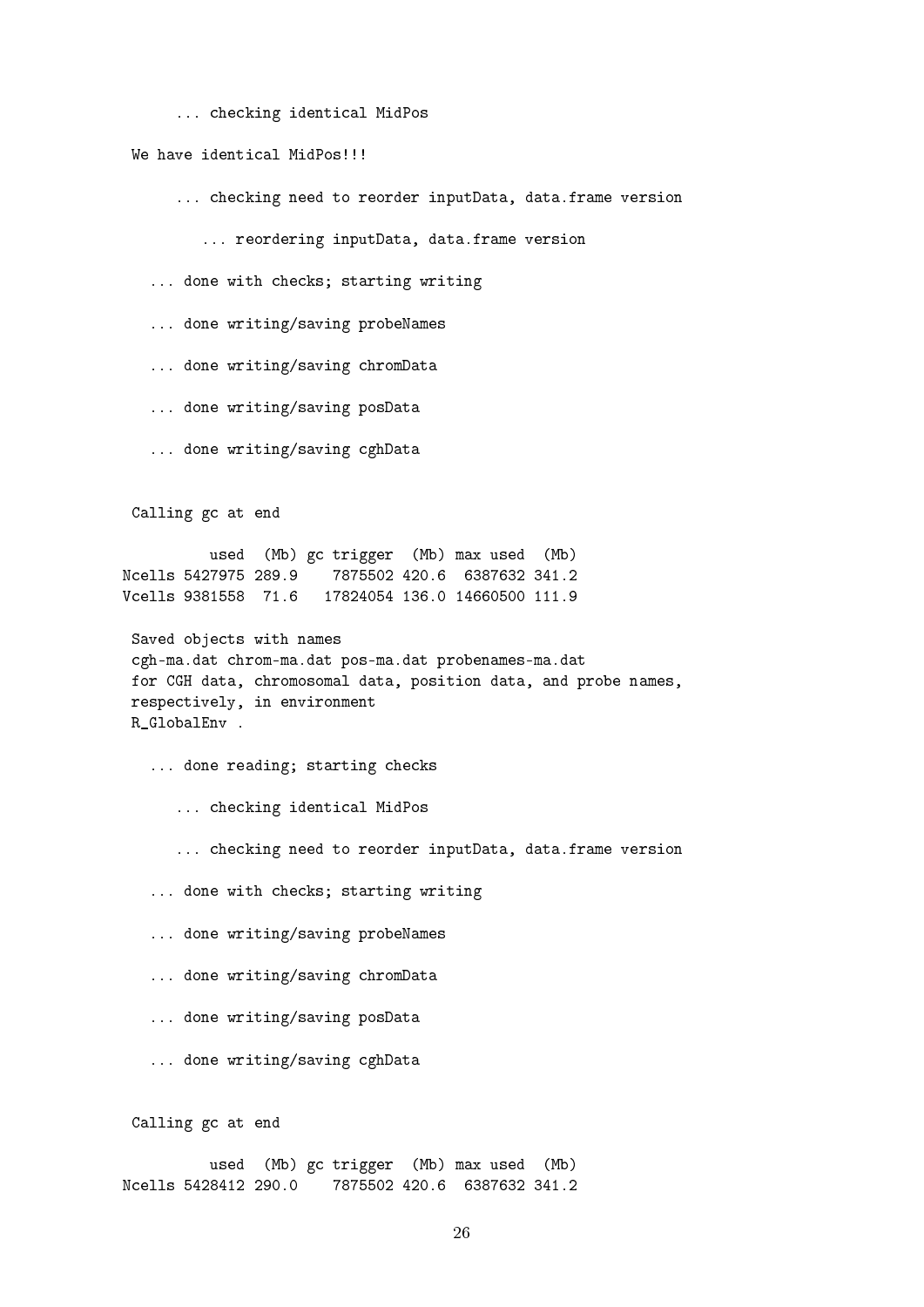... checking identical MidPos

We have identical MidPos!!!

... checking need to reorder inputData, data.frame version

... reordering inputData, data.frame version

... done with checks; starting writing

... done writing/saving probeNames

... done writing/saving chromData

... done writing/saving posData

... done writing/saving cghData

Calling gc at end

used (Mb) gc trigger (Mb) max used (Mb) Ncells 5427975 289.9 7875502 420.6 6387632 341.2 Vcells 9381558 71.6 17824054 136.0 14660500 111.9

Saved objects with names cgh-ma.dat chrom-ma.dat pos-ma.dat probenames-ma.dat for CGH data, chromosomal data, position data, and probe names, respectively, in environment R\_GlobalEnv .

... done reading; starting checks

... checking identical MidPos

... checking need to reorder inputData, data.frame version

... done with checks; starting writing

... done writing/saving probeNames

... done writing/saving chromData

... done writing/saving posData

... done writing/saving cghData

Calling gc at end

used (Mb) gc trigger (Mb) max used (Mb) Ncells 5428412 290.0 7875502 420.6 6387632 341.2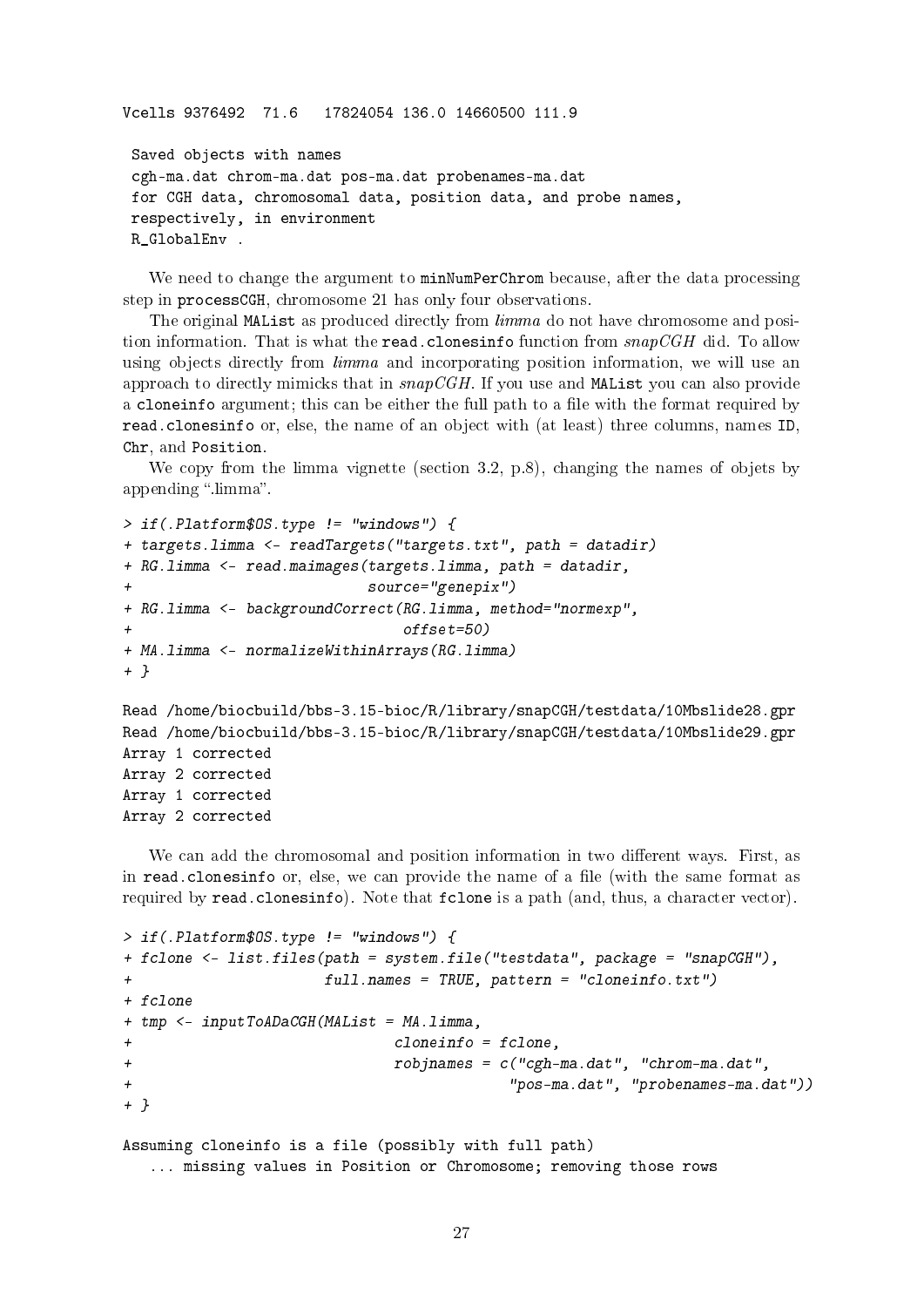Vcells 9376492 71.6 17824054 136.0 14660500 111.9

```
Saved objects with names
cgh-ma.dat chrom-ma.dat pos-ma.dat probenames-ma.dat
for CGH data, chromosomal data, position data, and probe names,
respectively, in environment
R GlobalEnv .
```
We need to change the argument to minNumPerChrom because, after the data processing step in processCGH, chromosome 21 has only four observations.

The original MAList as produced directly from  $limma$  do not have chromosome and position information. That is what the read.clonesinfo function from  $snapCGH$  did. To allow using objects directly from *limma* and incorporating position information, we will use an approach to directly mimicks that in  $snapCGH$ . If you use and MAList you can also provide a cloneinfo argument; this can be either the full path to a file with the format required by read.clonesinfo or, else, the name of an object with (at least) three columns, names ID, Chr, and Position.

We copy from the limma vignette (section 3.2, p.8), changing the names of objets by appending "limma".

```
> if(.Platform$OS.type != "windows") {
+ targets.limma <- readTargets("targets.txt", path = datadir)
+ RG.limma <- read.maimages(targets.limma, path = datadir,
+ source="genepix")
+ RG.limma <- backgroundCorrect(RG.limma, method="normexp",
+ offset=50)
+ MA.limma <- normalizeWithinArrays(RG.limma)
+ }
Read /home/biocbuild/bbs-3.15-bioc/R/library/snapCGH/testdata/10Mbslide28.gpr
Read /home/biocbuild/bbs-3.15-bioc/R/library/snapCGH/testdata/10Mbslide29.gpr
Array 1 corrected
Array 2 corrected
Array 1 corrected
Array 2 corrected
```
We can add the chromosomal and position information in two different ways. First, as in read.clonesinfo or, else, we can provide the name of a file (with the same format as required by read.clonesinfo). Note that fclone is a path (and, thus, a character vector).

```
> if(.Platform$OS.type != "windows") {
+ fclone <- list.files(path = system.file("testdata", package = "snapCGH"),
+ full.names = TRUE, pattern = "cloneinfo.txt")
+ fclone
+ tmp <- inputToADaCGH(MAList = MA.limma,
+ cloneinfo = fclone,
+ robjnames = c("cgh-ma.dat", "chrom-ma.dat",
+ "pos-ma.dat", "probenames-ma.dat"))
+ }
Assuming cloneinfo is a file (possibly with full path)
  ... missing values in Position or Chromosome; removing those rows
```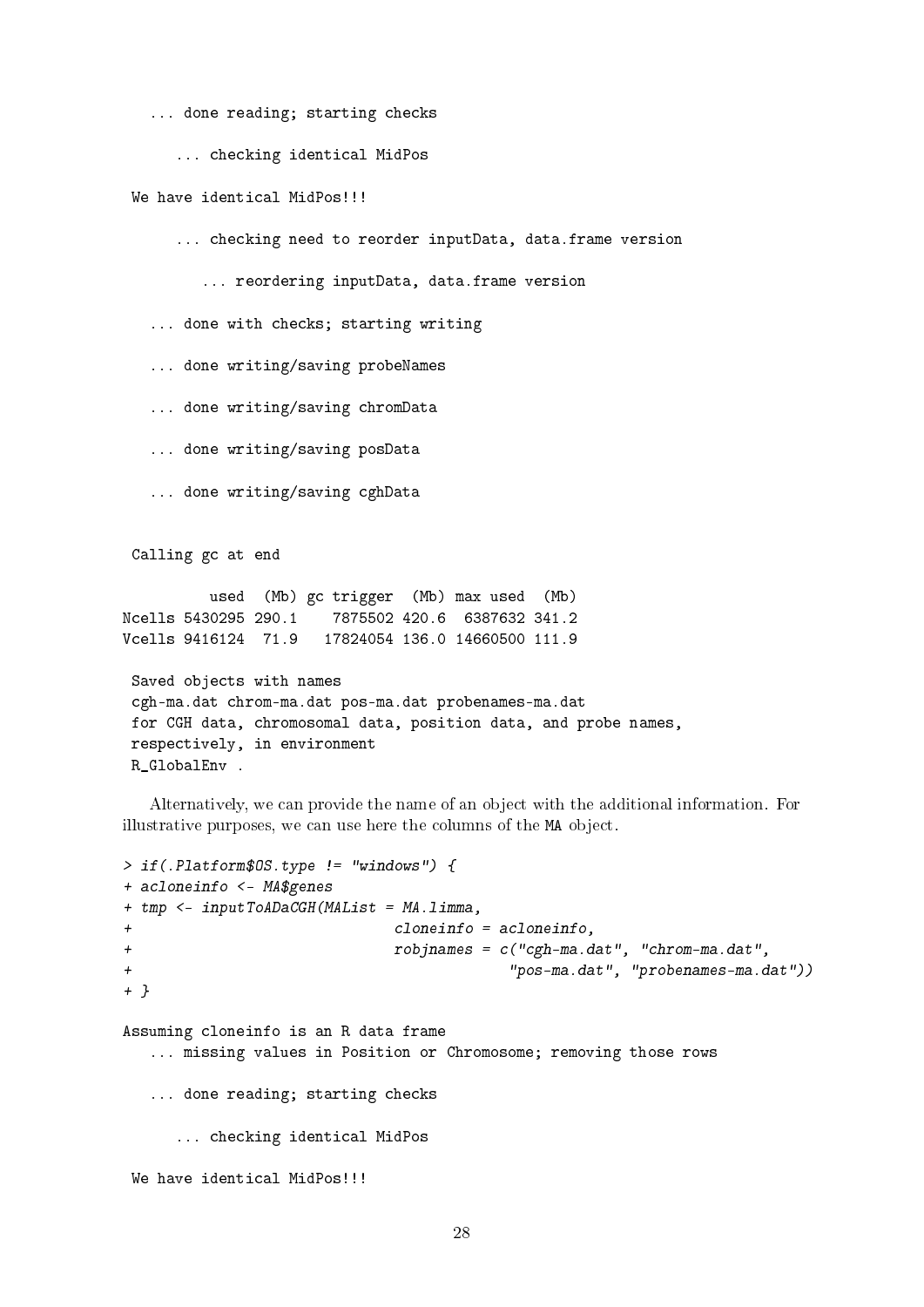... done reading; starting checks

... checking identical MidPos

We have identical MidPos!!!

... checking need to reorder inputData, data.frame version

... reordering inputData, data.frame version

... done with checks; starting writing

... done writing/saving probeNames

... done writing/saving chromData

... done writing/saving posData

... done writing/saving cghData

Calling gc at end

used (Mb) gc trigger (Mb) max used (Mb) Ncells 5430295 290.1 7875502 420.6 6387632 341.2 Vcells 9416124 71.9 17824054 136.0 14660500 111.9

Saved objects with names cgh-ma.dat chrom-ma.dat pos-ma.dat probenames-ma.dat for CGH data, chromosomal data, position data, and probe names, respectively, in environment R\_GlobalEnv .

Alternatively, we can provide the name of an object with the additional information. For illustrative purposes, we can use here the columns of the MA object.

```
> if(.Platform$OS.type != "windows") {
+ acloneinfo <- MA$genes
+ tmp <- inputToADaCGH(MAList = MA.limma,
+ cloneinfo = acloneinfo,
+ robjnames = c("cgh-ma.dat", "chrom-ma.dat",
+ "pos-ma.dat", "probenames-ma.dat"))
+ }
Assuming cloneinfo is an R data frame
  ... missing values in Position or Chromosome; removing those rows
  ... done reading; starting checks
     ... checking identical MidPos
We have identical MidPos!!!
```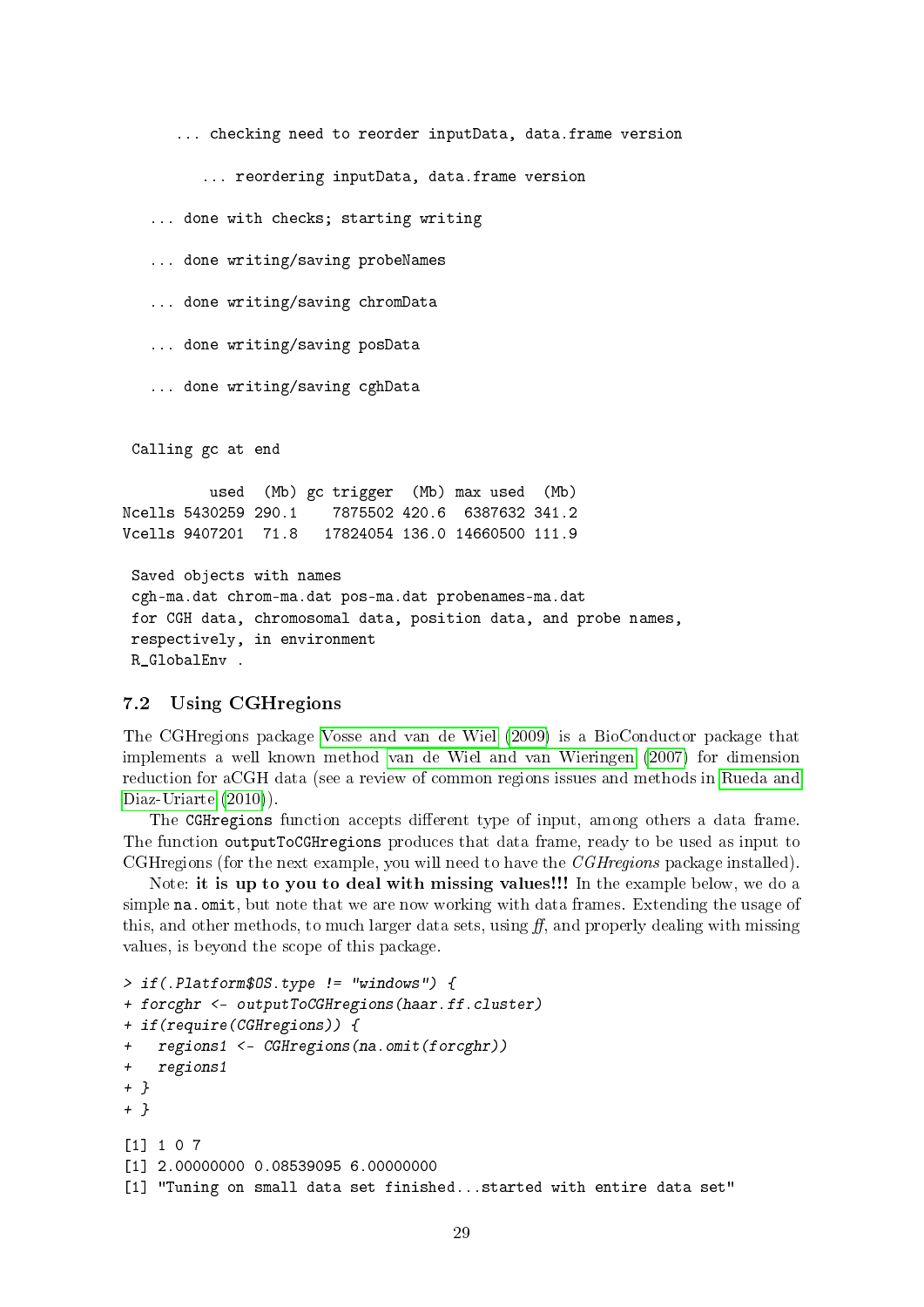... checking need to reorder inputData, data.frame version

... reordering inputData, data.frame version

... done with checks; starting writing

... done writing/saving probeNames

... done writing/saving chromData

... done writing/saving posData

... done writing/saving cghData

Calling gc at end

used (Mb) gc trigger (Mb) max used (Mb) Ncells 5430259 290.1 7875502 420.6 6387632 341.2 Vcells 9407201 71.8 17824054 136.0 14660500 111.9

Saved objects with names cgh-ma.dat chrom-ma.dat pos-ma.dat probenames-ma.dat for CGH data, chromosomal data, position data, and probe names, respectively, in environment R GlobalEnv .

#### <span id="page-28-0"></span>7.2 Using CGHregions

The CGHregions package [Vosse and van de Wiel](#page-33-3) [\(2009\)](#page-33-3) is a BioConductor package that implements a well known method [van de Wiel and van Wieringen](#page-33-4) [\(2007\)](#page-33-4) for dimension reduction for aCGH data (see a review of common regions issues and methods in [Rueda and](#page-33-5) [Diaz-Uriarte](#page-33-5)  $(2010)$ .

The CGHregions function accepts different type of input, among others a data frame. The function outputToCGHregions produces that data frame, ready to be used as input to CGHregions (for the next example, you will need to have the CGHregions package installed).

Note: it is up to you to deal with missing values!!! In the example below, we do a simple na.omit, but note that we are now working with data frames. Extending the usage of this, and other methods, to much larger data sets, using  $ff$ , and properly dealing with missing values, is beyond the scope of this package.

```
> if(.Platform$OS.type != "windows") {
+ forcghr <- outputToCGHregions(haar.ff.cluster)
+ if(require(CGHregions)) {
+ regions1 <- CGHregions(na.omit(forcghr))
+ regions1
+ }
+ }
[1] 1 0 7
[1] 2.00000000 0.08539095 6.00000000
[1] "Tuning on small data set finished...started with entire data set"
```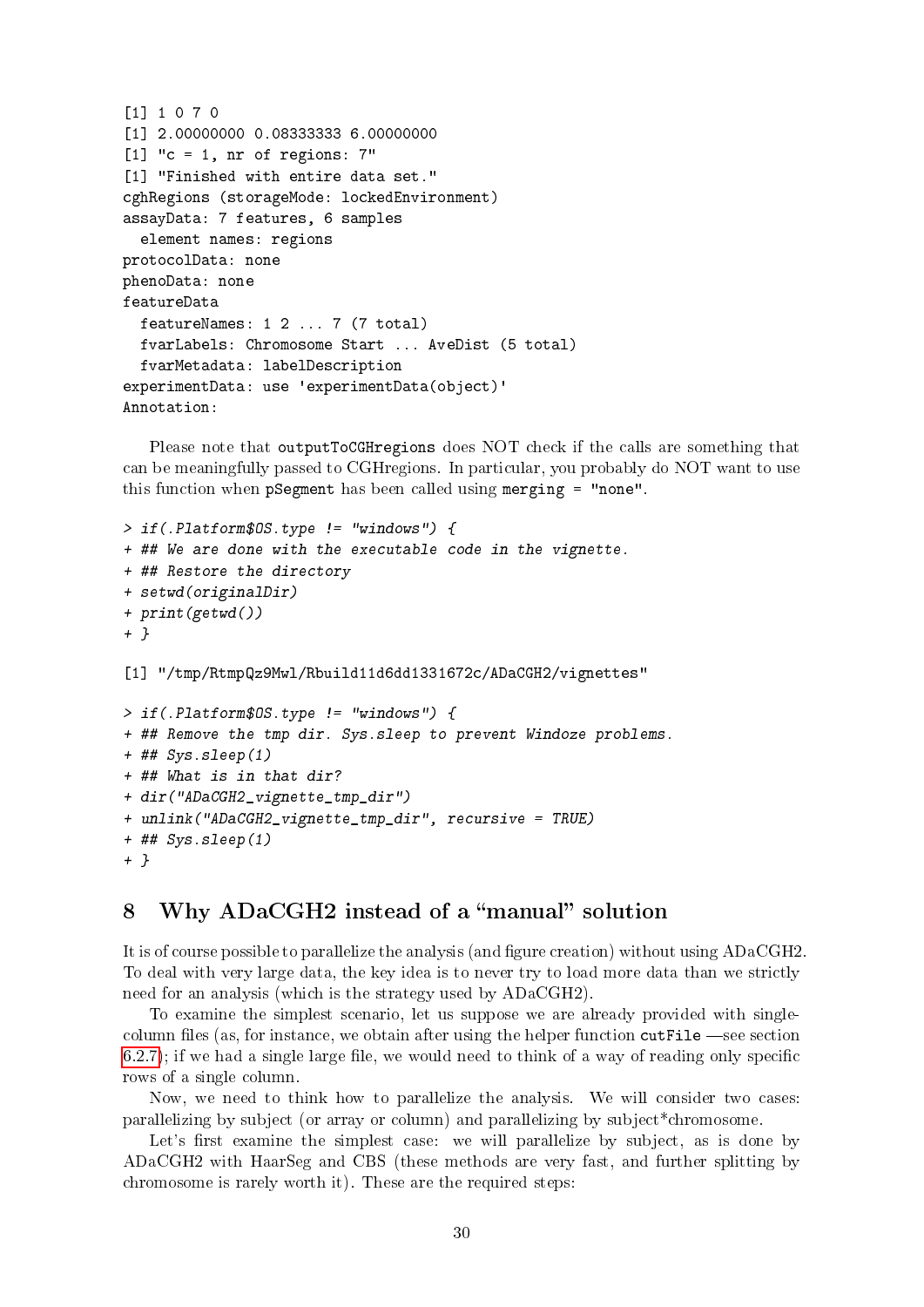```
[1] 1 0 7 0
[1] 2.00000000 0.08333333 6.00000000
[1] "c = 1, nr of regions: 7"
[1] "Finished with entire data set."
cghRegions (storageMode: lockedEnvironment)
assayData: 7 features, 6 samples
  element names: regions
protocolData: none
phenoData: none
featureData
  featureNames: 1 2 ... 7 (7 total)
  fvarLabels: Chromosome Start ... AveDist (5 total)
  fvarMetadata: labelDescription
experimentData: use 'experimentData(object)'
Annotation:
```
Please note that outputToCGHregions does NOT check if the calls are something that can be meaningfully passed to CGHregions. In particular, you probably do NOT want to use this function when pSegment has been called using merging = "none".

```
> if(.Platform$OS.type != "windows") {
+ ## We are done with the executable code in the vignette.
+ ## Restore the directory
+ setwd(originalDir)
+ print(getwd())
+ }
[1] "/tmp/RtmpQz9Mwl/Rbuild11d6dd1331672c/ADaCGH2/vignettes"
> if(.Platform$OS.type != "windows") {
+ ## Remove the tmp dir. Sys.sleep to prevent Windoze problems.
+ ## Sys.sleep(1)
+ ## What is in that dir?
+ dir("ADaCGH2_vignette_tmp_dir")
+ unlink("ADaCGH2_vignette_tmp_dir", recursive = TRUE)
+ ## Sys.sleep(1)
+ }
```
## <span id="page-29-0"></span>8 Why ADaCGH2 instead of a "manual" solution

It is of course possible to parallelize the analysis (and figure creation) without using ADaCGH2. To deal with very large data, the key idea is to never try to load more data than we strictly need for an analysis (which is the strategy used by ADaCGH2).

To examine the simplest scenario, let us suppose we are already provided with singlecolumn files (as, for instance, we obtain after using the helper function  $\text{cutFile}$  —see section  $(6.2.7)$  $(6.2.7)$ ; if we had a single large file, we would need to think of a way of reading only specific rows of a single column.

Now, we need to think how to parallelize the analysis. We will consider two cases: parallelizing by subject (or array or column) and parallelizing by subject\*chromosome.

Let's first examine the simplest case: we will parallelize by subject, as is done by ADaCGH2 with HaarSeg and CBS (these methods are very fast, and further splitting by chromosome is rarely worth it). These are the required steps: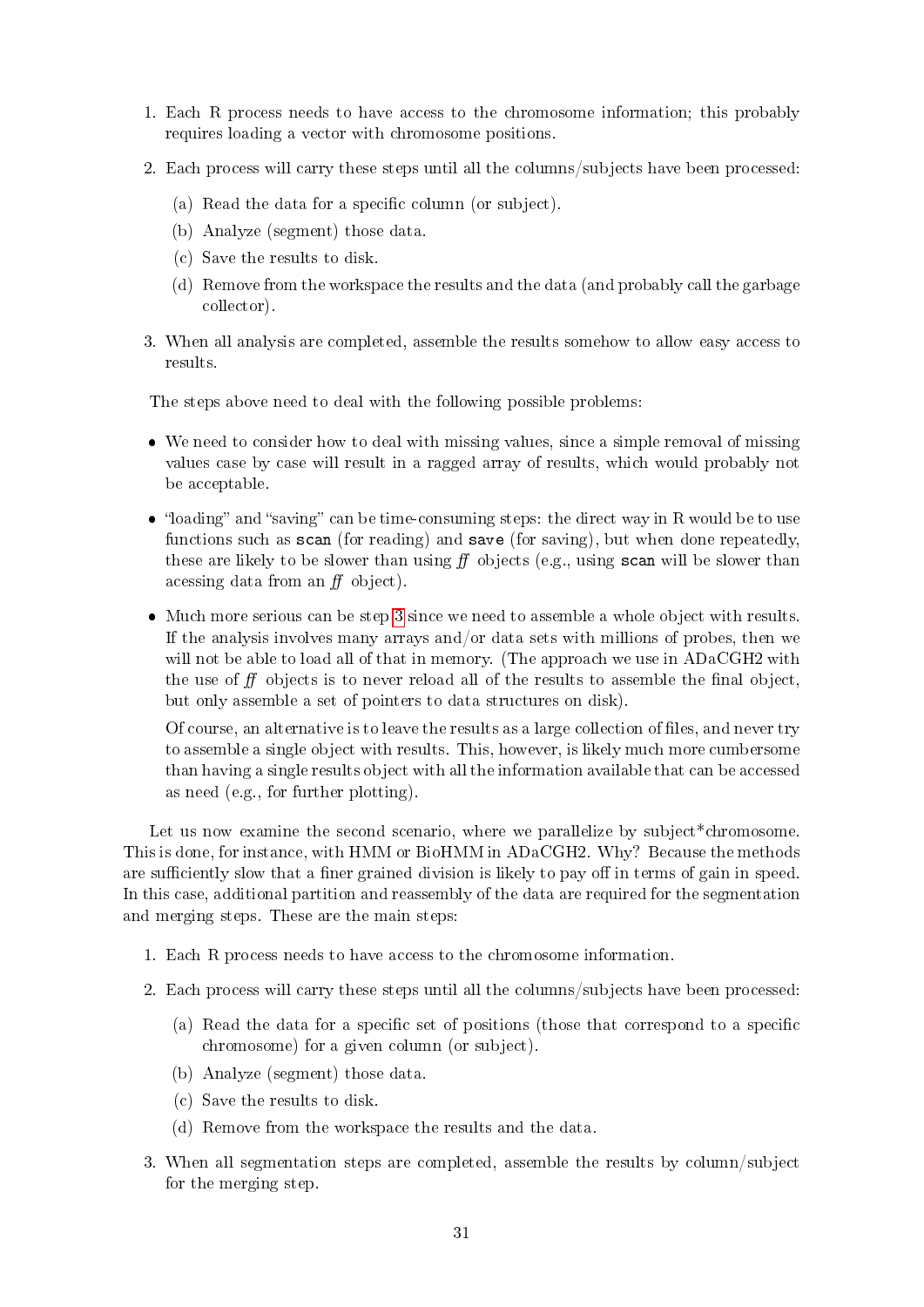- 1. Each R process needs to have access to the chromosome information; this probably requires loading a vector with chromosome positions.
- 2. Each process will carry these steps until all the columns/subjects have been processed:
	- (a) Read the data for a specific column (or subject).
	- (b) Analyze (segment) those data.
	- (c) Save the results to disk.
	- (d) Remove from the workspace the results and the data (and probably call the garbage collector).
- <span id="page-30-0"></span>3. When all analysis are completed, assemble the results somehow to allow easy access to results.

The steps above need to deal with the following possible problems:

- We need to consider how to deal with missing values, since a simple removal of missing values case by case will result in a ragged array of results, which would probably not be acceptable.
- "loading" and "saving" can be time-consuming steps: the direct way in R would be to use functions such as scan (for reading) and save (for saving), but when done repeatedly, these are likely to be slower than using  $f f$  objects (e.g., using scan will be slower than acessing data from an  $ff$  object).
- Much more serious can be step [3](#page-30-0) since we need to assemble a whole object with results. If the analysis involves many arrays and/or data sets with millions of probes, then we will not be able to load all of that in memory. (The approach we use in ADaCGH2 with the use of  $f\!f$  objects is to never reload all of the results to assemble the final object, but only assemble a set of pointers to data structures on disk).

Of course, an alternative is to leave the results as a large collection of files, and never try to assemble a single object with results. This, however, is likely much more cumbersome than having a single results object with all the information available that can be accessed as need (e.g., for further plotting).

Let us now examine the second scenario, where we parallelize by subject<sup>\*</sup>chromosome. This is done, for instance, with HMM or BioHMM in ADaCGH2. Why? Because the methods are sufficiently slow that a finer grained division is likely to pay off in terms of gain in speed. In this case, additional partition and reassembly of the data are required for the segmentation and merging steps. These are the main steps:

- 1. Each R process needs to have access to the chromosome information.
- 2. Each process will carry these steps until all the columns/subjects have been processed:
	- (a) Read the data for a specific set of positions (those that correspond to a specific chromosome) for a given column (or subject).
	- (b) Analyze (segment) those data.
	- (c) Save the results to disk.
	- (d) Remove from the workspace the results and the data.
- 3. When all segmentation steps are completed, assemble the results by column/subject for the merging step.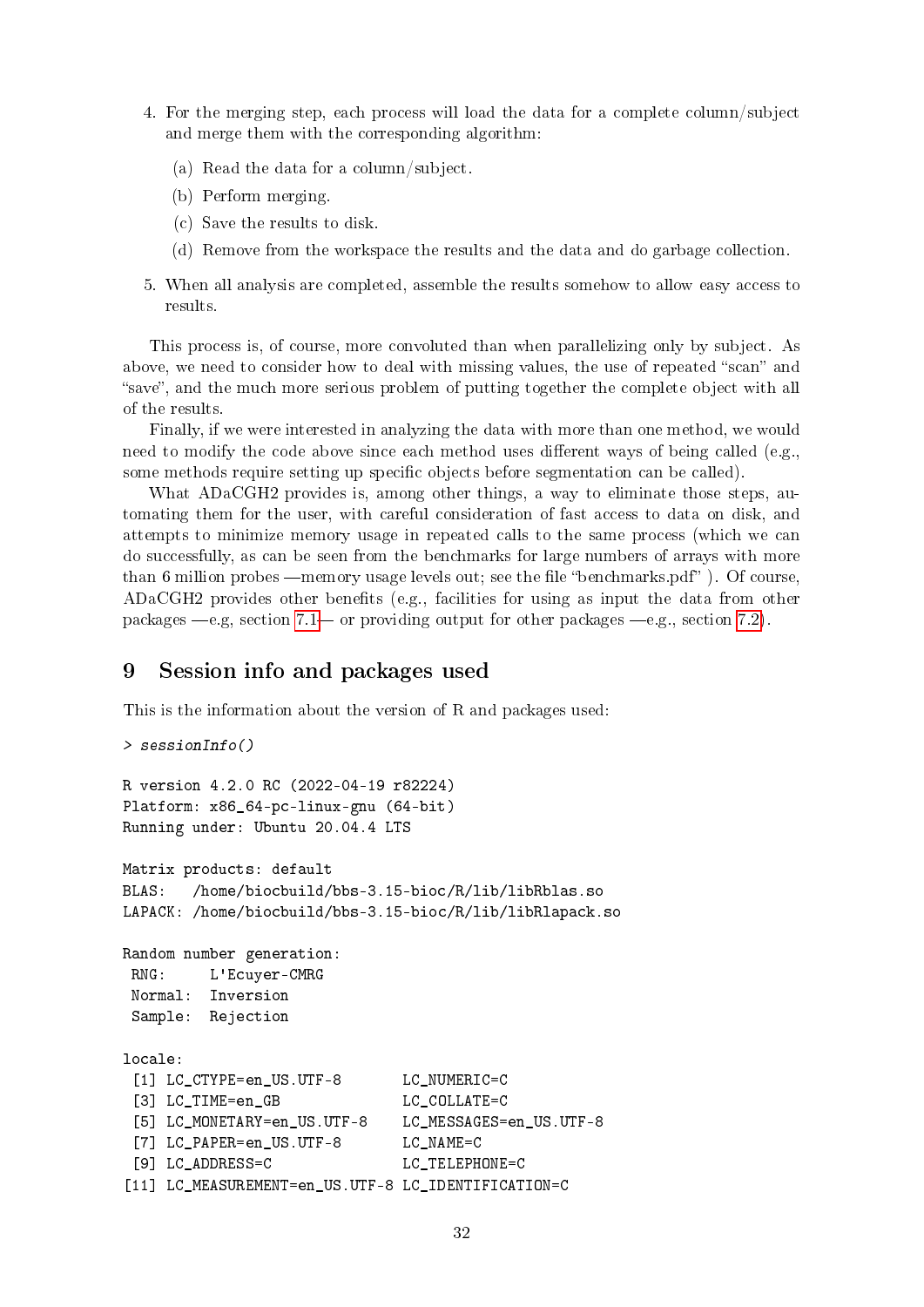- 4. For the merging step, each process will load the data for a complete column/subject and merge them with the corresponding algorithm:
	- (a) Read the data for a column/subject.
	- (b) Perform merging.
	- (c) Save the results to disk.
	- (d) Remove from the workspace the results and the data and do garbage collection.
- 5. When all analysis are completed, assemble the results somehow to allow easy access to results.

This process is, of course, more convoluted than when parallelizing only by subject. As above, we need to consider how to deal with missing values, the use of repeated "scan" and "save", and the much more serious problem of putting together the complete object with all of the results.

Finally, if we were interested in analyzing the data with more than one method, we would need to modify the code above since each method uses different ways of being called (e.g., some methods require setting up specific objects before segmentation can be called).

What ADaCGH2 provides is, among other things, a way to eliminate those steps, automating them for the user, with careful consideration of fast access to data on disk, and attempts to minimize memory usage in repeated calls to the same process (which we can do successfully, as can be seen from the benchmarks for large numbers of arrays with more than 6 million probes —memory usage levels out; see the file "benchmarks.pdf"). Of course, ADaCGH2 provides other benets (e.g., facilities for using as input the data from other packages  $-e.g.$ , section [7.1](#page-23-1) or providing output for other packages  $-e.g.$ , section [7.2\)](#page-28-0).

## <span id="page-31-0"></span>9 Session info and packages used

This is the information about the version of R and packages used:

```
> sessionInfo()
R version 4.2.0 RC (2022-04-19 r82224)
Platform: x86_64-pc-linux-gnu (64-bit)
Running under: Ubuntu 20.04.4 LTS
Matrix products: default
BLAS: /home/biocbuild/bbs-3.15-bioc/R/lib/libRblas.so
LAPACK: /home/biocbuild/bbs-3.15-bioc/R/lib/libRlapack.so
Random number generation:
RNG: L'Ecuyer-CMRG
Normal: Inversion
 Sample: Rejection
locale:
 [1] LC CTYPE=en US.UTF-8 LC NUMERIC=C
 [3] LC TIME=en GB LC COLLATE=C
 [5] LC_MONETARY=en_US.UTF-8 LC_MESSAGES=en_US.UTF-8
 [7] LC_PAPER=en_US.UTF-8 LC_NAME=C
 [9] LC_ADDRESS=C LC_TELEPHONE=C
[11] LC_MEASUREMENT=en_US.UTF-8 LC_IDENTIFICATION=C
```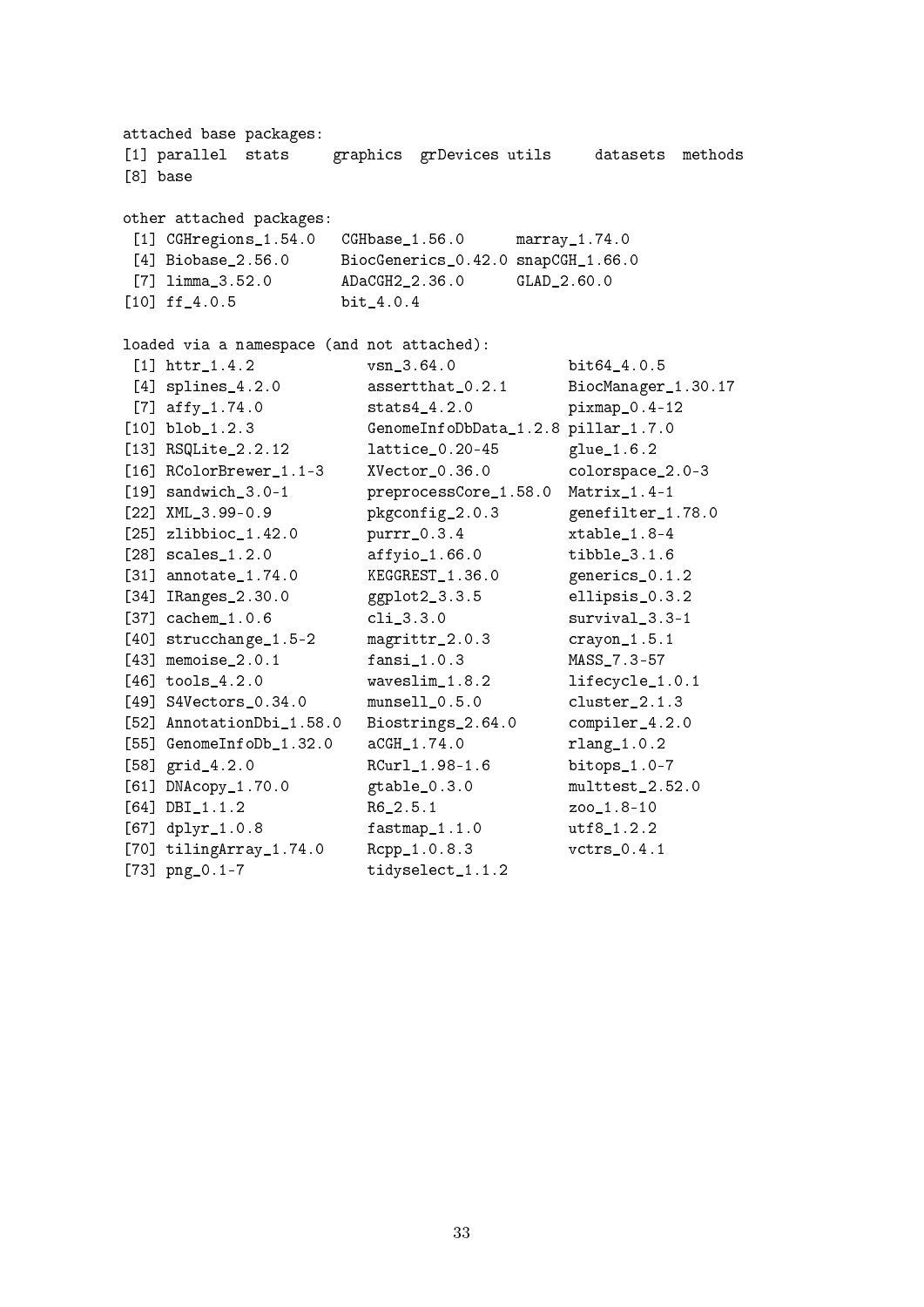attached base packages: [1] parallel stats graphics grDevices utils datasets methods [8] base other attached packages: [1] CGHregions\_1.54.0 CGHbase\_1.56.0 marray\_1.74.0 [4] Biobase\_2.56.0 BiocGenerics\_0.42.0 snapCGH\_1.66.0 [7] limma\_3.52.0 ADaCGH2\_2.36.0 GLAD\_2.60.0 [10] ff\_4.0.5 bit\_4.0.4 loaded via a namespace (and not attached): [1] httr\_1.4.2 vsn\_3.64.0 bit64\_4.0.5 [4] splines\_4.2.0 assertthat\_0.2.1 BiocManager\_1.30.17 [7] affy<sub>1.74.0</sub> stats4<sub>14.2.0</sub> pixmap<sub>10.4-12</sub> [10] blob\_1.2.3 GenomeInfoDbData\_1.2.8 pillar\_1.7.0 [13] RSQLite\_2.2.12 lattice\_0.20-45 glue\_1.6.2 [16] RColorBrewer 1.1-3 XVector 0.36.0 colorspace 2.0-3 [19] sandwich 3.0-1 preprocessCore 1.58.0 Matrix 1.4-1 [22] XML\_3.99-0.9 pkgconfig\_2.0.3 genefilter\_1.78.0 [25] zlibbioc\_1.42.0 purrr\_0.3.4 xtable\_1.8-4 [28] scales\_1.2.0 affyio\_1.66.0 tibble\_3.1.6 [31] annotate 1.74.0 KEGGREST 1.36.0 generics 0.1.2 [34] IRanges\_2.30.0 ggplot2\_3.3.5 ellipsis\_0.3.2 [37] cachem\_1.0.6 cli\_3.3.0 survival\_3.3-1 [40] strucchange\_1.5-2 magrittr\_2.0.3 crayon\_1.5.1 [43] memoise\_2.0.1 fansi\_1.0.3 MASS\_7.3-57 [46] tools\_4.2.0 waveslim\_1.8.2 lifecycle\_1.0.1 [49] S4Vectors\_0.34.0 munsell\_0.5.0 cluster\_2.1.3 [52] AnnotationDbi\_1.58.0 Biostrings\_2.64.0 compiler\_4.2.0 [55] GenomeInfoDb\_1.32.0 aCGH\_1.74.0 rlang\_1.0.2 [58] grid\_4.2.0 RCurl\_1.98-1.6 bitops\_1.0-7 [61] DNAcopy\_1.70.0 gtable\_0.3.0 multtest\_2.52.0 [64] DBI\_1.1.2 R6\_2.5.1 zoo\_1.8-10 [67] dplyr\_1.0.8 fastmap\_1.1.0 utf8\_1.2.2 [70] tilingArray\_1.74.0 Rcpp\_1.0.8.3 vctrs\_0.4.1 [73] png\_0.1-7 tidyselect\_1.1.2